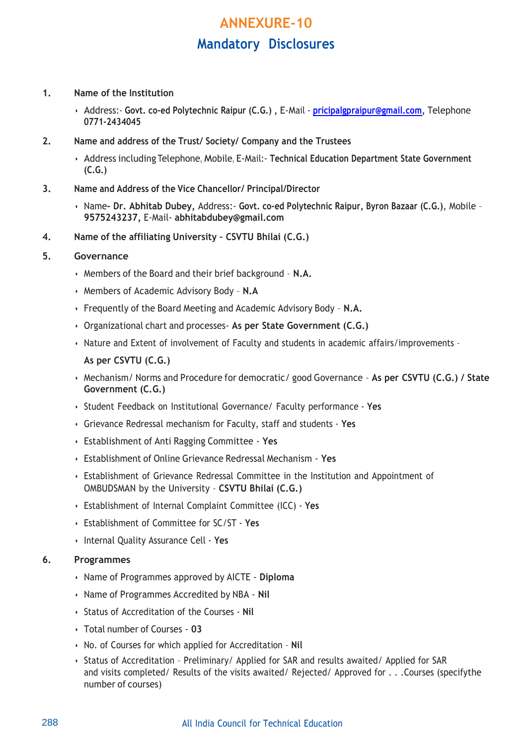# **ANNEXURE-10 Mandatory Disclosures**

- **1. Name of the Institution**
	- Address:- **Govt. co-ed Polytechnic Raipur (C.G.) ,** E-Mail **[pricipalgpraipur@gmail.com,](mailto:pricipalgpraipur@gmail.com)** Telephone **0771-2434045**
- **2. Name and address of the Trust/ Society/ Company and the Trustees**
	- Address including Telephone, Mobile, E-Mail:- **Technical Education Department State Government (C.G.)**
- **3. Name and Address of the Vice Chancellor/ Principal/Director**
	- Name**- Dr. Abhitab Dubey,** Address:- **Govt. co-ed Polytechnic Raipur, Byron Bazaar (C.G.)**, Mobile **9575243237,** E-Mail- **abhitabdubey@gmail.com**
- **4. Name of the affiliating University – CSVTU Bhilai (C.G.)**

### **5. Governance**

- Members of the Board and their brief background **N.A.**
- Members of Academic Advisory Body **N.A**
- Frequently of the Board Meeting and Academic Advisory Body **N.A.**
- Organizational chart and processes- **As per State Government (C.G.)**
- Nature and Extent of involvement of Faculty and students in academic affairs/improvements **As per CSVTU (C.G.)**
- Mechanism/ Norms and Procedure for democratic/ good Governance **As per CSVTU (C.G.) / State Government (C.G.)**
- Student Feedback on Institutional Governance/ Faculty performance **Yes**
- Grievance Redressal mechanism for Faculty, staff and students **Yes**
- Establishment of Anti Ragging Committee **Yes**
- Establishment of Online Grievance Redressal Mechanism **Yes**
- Establishment of Grievance Redressal Committee in the Institution and Appointment of OMBUDSMAN by the University – **CSVTU Bhilai (C.G.)**
- Establishment of Internal Complaint Committee (ICC) **Yes**
- Establishment of Committee for SC/ST **Yes**
- Internal Quality Assurance Cell **Yes**

#### **6. Programmes**

- Name of Programmes approved by AICTE **Diploma**
- Name of Programmes Accredited by NBA **Nil**
- Status of Accreditation of the Courses **Nil**
- Total number of Courses **03**
- No. of Courses for which applied for Accreditation **Nil**
- Status of Accreditation Preliminary/ Applied for SAR and results awaited/ Applied for SAR and visits completed/ Results of the visits awaited/ Rejected/ Approved for . . .Courses (specifythe number of courses)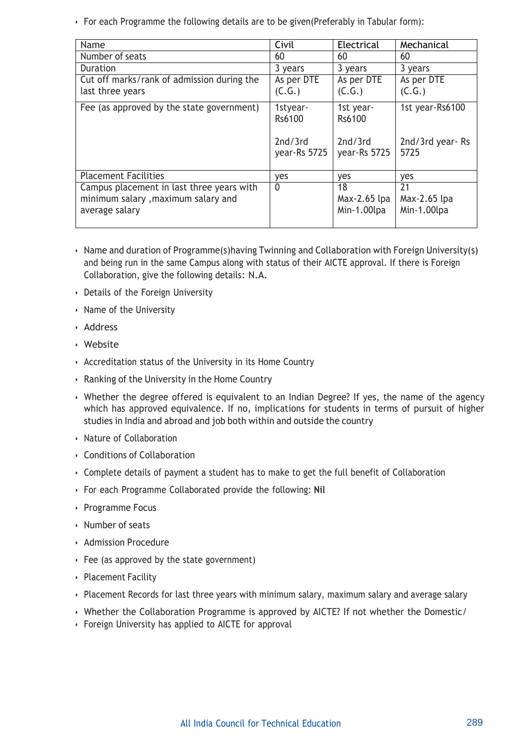• For each Programme the following details are to be given(Preferably in Tabular form):

| Name                                                                                              | Civil                   | Electrical                        | Mechanical                        |
|---------------------------------------------------------------------------------------------------|-------------------------|-----------------------------------|-----------------------------------|
| Number of seats                                                                                   | 60                      | 60                                | 60                                |
| <b>Duration</b>                                                                                   | 3 years                 | 3 years                           | 3 years                           |
| Cut off marks/rank of admission during the                                                        | As per DTE              | As per DTE                        | As per DTE                        |
| last three years                                                                                  | (C.G.)                  | (C.G.)                            | (C.G.)                            |
| Fee (as approved by the state government)                                                         | 1styear-<br>Rs6100      | 1st year-<br>Rs6100               | 1st year-Rs6100                   |
|                                                                                                   | 2nd/3rd<br>year-Rs 5725 | 2nd/3rd<br>year-Rs 5725           | 2nd/3rd year-Rs<br>5725           |
| <b>Placement Facilities</b>                                                                       | yes                     | yes                               | yes                               |
| Campus placement in last three years with<br>minimum salary, maximum salary and<br>average salary | 0                       | 18<br>Max-2.65 lpa<br>Min-1.00lpa | 21<br>Max-2.65 lpa<br>Min-1.00lpa |

- Name and duration of Programme(s)having Twinning and Collaboration with Foreign University(s) and being run in the same Campus along with status of their AICTE approval. If there is Foreign Collaboration, give the following details: N.A.
- Details of the Foreign University
- Name of the University
- Address
- Website
- Accreditation status of the University in its Home Country
- Ranking of the University in the Home Country
- Whether the degree offered is equivalent to an Indian Degree? If yes, the name of the agency which has approved equivalence. If no, implications for students in terms of pursuit of higher studies in India and abroad and job both within and outside the country
- Nature of Collaboration
- Conditions of Collaboration
- Complete details of payment a student has to make to get the full benefit of Collaboration
- For each Programme Collaborated provide the following: **Nil**
- Programme Focus
- Number of seats
- Admission Procedure
- Fee (as approved by the state government)
- Placement Facility
- Placement Records for last three years with minimum salary, maximum salary and average salary
- Whether the Collaboration Programme is approved by AICTE? If not whether the Domestic/
- Foreign University has applied to AICTE for approval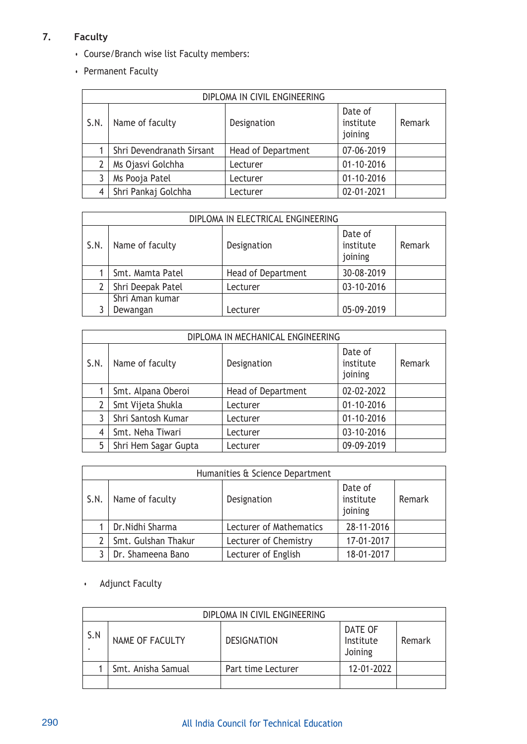# **7. Faculty**

- Course/Branch wise list Faculty members:
- Permanent Faculty

|      | DIPLOMA IN CIVIL ENGINEERING |                           |                                 |        |  |  |
|------|------------------------------|---------------------------|---------------------------------|--------|--|--|
| S.N. | Name of faculty              | Designation               | Date of<br>institute<br>joining | Remark |  |  |
|      | Shri Devendranath Sirsant    | <b>Head of Department</b> | 07-06-2019                      |        |  |  |
| 2    | Ms Ojasvi Golchha            | Lecturer                  | $01 - 10 - 2016$                |        |  |  |
| 3    | Ms Pooja Patel               | Lecturer                  | $01 - 10 - 2016$                |        |  |  |
| 4    | Shri Pankaj Golchha          | Lecturer                  | 02-01-2021                      |        |  |  |

|      | DIPLOMA IN ELECTRICAL ENGINEERING |                    |                                 |        |  |
|------|-----------------------------------|--------------------|---------------------------------|--------|--|
| S.N. | Name of faculty                   | Designation        | Date of<br>institute<br>joining | Remark |  |
|      | Smt. Mamta Patel                  | Head of Department | 30-08-2019                      |        |  |
|      | Shri Deepak Patel                 | Lecturer           | 03-10-2016                      |        |  |
|      | Shri Aman kumar                   |                    |                                 |        |  |
|      | Dewangan                          | Lecturer           | 05-09-2019                      |        |  |

|      | DIPLOMA IN MECHANICAL ENGINEERING |                           |                                 |        |  |  |
|------|-----------------------------------|---------------------------|---------------------------------|--------|--|--|
| S.N. | Name of faculty                   | Designation               | Date of<br>institute<br>joining | Remark |  |  |
|      | Smt. Alpana Oberoi                | <b>Head of Department</b> | 02-02-2022                      |        |  |  |
| 2    | Smt Vijeta Shukla                 | Lecturer                  | 01-10-2016                      |        |  |  |
| 3    | Shri Santosh Kumar                | Lecturer                  | 01-10-2016                      |        |  |  |
| 4    | Smt. Neha Tiwari                  | Lecturer                  | 03-10-2016                      |        |  |  |
| 5    | Shri Hem Sagar Gupta              | Lecturer                  | 09-09-2019                      |        |  |  |

|      | Humanities & Science Department |                         |                                 |        |  |
|------|---------------------------------|-------------------------|---------------------------------|--------|--|
| S.N. | Name of faculty                 | Designation             | Date of<br>institute<br>joining | Remark |  |
|      | Dr. Nidhi Sharma                | Lecturer of Mathematics | 28-11-2016                      |        |  |
|      | Smt. Gulshan Thakur             | Lecturer of Chemistry   | 17-01-2017                      |        |  |
|      | Dr. Shameena Bano               | Lecturer of English     | 18-01-2017                      |        |  |

# • Adjunct Faculty

|     | DIPLOMA IN CIVIL ENGINEERING |                    |                                 |        |  |  |
|-----|------------------------------|--------------------|---------------------------------|--------|--|--|
| S.N | NAME OF FACULTY              | <b>DESIGNATION</b> | DATE OF<br>Institute<br>Joining | Remark |  |  |
|     | Smt. Anisha Samual           | Part time Lecturer | 12-01-2022                      |        |  |  |
|     |                              |                    |                                 |        |  |  |

# 290 All India Council for Technical Education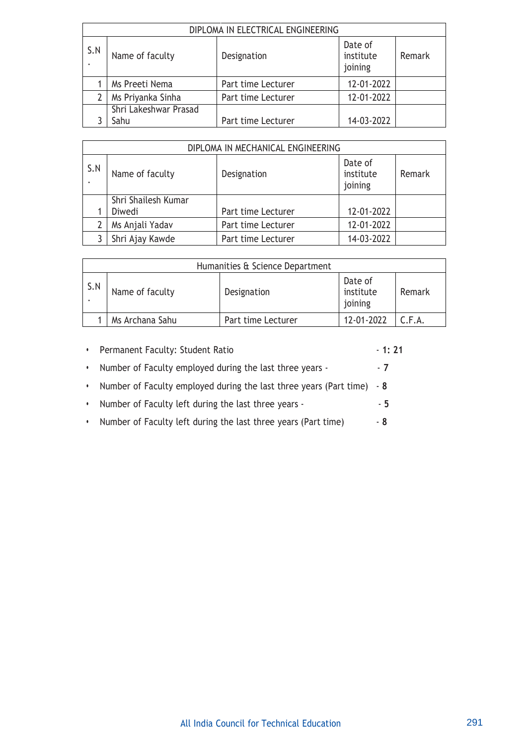|     | DIPLOMA IN ELECTRICAL ENGINEERING |                    |                                 |        |  |
|-----|-----------------------------------|--------------------|---------------------------------|--------|--|
| S.N | Name of faculty                   | Designation        | Date of<br>institute<br>joining | Remark |  |
|     | Ms Preeti Nema                    | Part time Lecturer | 12-01-2022                      |        |  |
|     | Ms Priyanka Sinha                 | Part time Lecturer | 12-01-2022                      |        |  |
|     | Shri Lakeshwar Prasad             |                    |                                 |        |  |
|     | Sahu                              | Part time Lecturer | 14-03-2022                      |        |  |

|     | DIPLOMA IN MECHANICAL ENGINEERING |                    |                                 |        |  |  |
|-----|-----------------------------------|--------------------|---------------------------------|--------|--|--|
| S.N | Name of faculty                   | Designation        | Date of<br>institute<br>joining | Remark |  |  |
|     | Shri Shailesh Kumar               |                    |                                 |        |  |  |
|     | Diwedi                            | Part time Lecturer | 12-01-2022                      |        |  |  |
|     | Ms Anjali Yadav                   | Part time Lecturer | 12-01-2022                      |        |  |  |
|     | Shri Ajay Kawde                   | Part time Lecturer | 14-03-2022                      |        |  |  |

|     | Humanities & Science Department |                    |                                 |        |
|-----|---------------------------------|--------------------|---------------------------------|--------|
| S.N | Name of faculty                 | Designation        | Date of<br>institute<br>joining | Remark |
|     | Ms Archana Sahu                 | Part time Lecturer | 12-01-2022                      | C.F.A. |

| $\bullet$ | Permanent Faculty: Student Ratio                                       | - 1: 21 |
|-----------|------------------------------------------------------------------------|---------|
|           | Number of Faculty employed during the last three years -               | $-7$    |
|           | Number of Faculty employed during the last three years (Part time) - 8 |         |
|           | Number of Faculty left during the last three years -                   | - 5     |
|           | Number of Faculty left during the last three years (Part time)         | - 8     |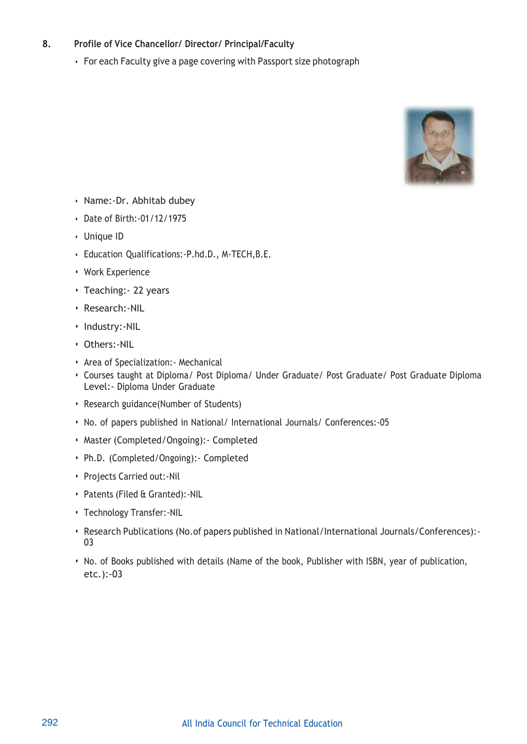# **8. Profile of Vice Chancellor/ Director/ Principal/Faculty**

• For each Faculty give a page covering with Passport size photograph



- Name:-Dr. Abhitab dubey
- Date of Birth:-01/12/1975
- Unique ID
- Education Qualifications:-P.hd.D., M-TECH,B.E.
- **•** Work Experience
- **•** Teaching:- 22 years
- **•** Research:-NIL
- **•** Industry:-NIL
- **•** Others:-NIL
- **•** Area of Specialization:- Mechanical
- **•** Courses taught at Diploma/ Post Diploma/ Under Graduate/ Post Graduate/ Post Graduate Diploma Level:- Diploma Under Graduate
- **•** Research guidance(Number of Students)
- **•** No. of papers published in National/ International Journals/ Conferences:-05
- **•** Master (Completed/Ongoing):- Completed
- **•** Ph.D. (Completed/Ongoing):- Completed
- **•** Projects Carried out:-Nil
- **•** Patents (Filed & Granted):-NIL
- **•** Technology Transfer:-NIL
- **•** Research Publications (No.of papers published in National/International Journals/Conferences):- 03
- **•** No. of Books published with details (Name of the book, Publisher with ISBN, year of publication, etc.):-03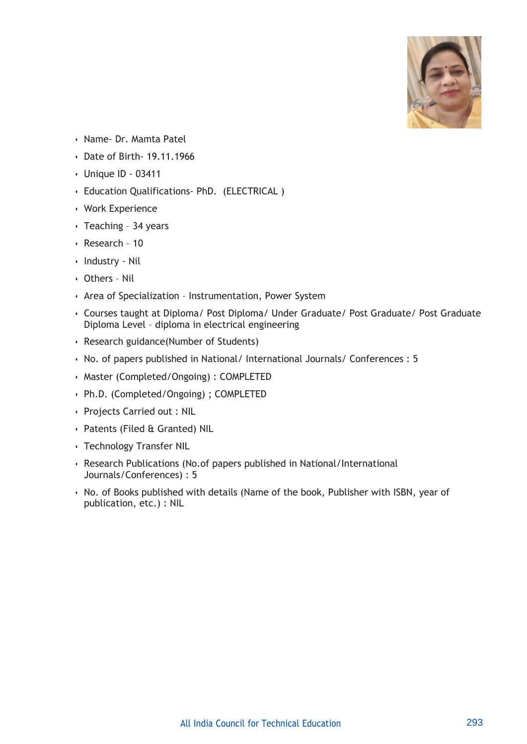

- Name- Dr. Mamta Patel
- Date of Birth- 19.11.1966
- Unique ID 03411
- Education Qualifications- PhD. (ELECTRICAL )
- Work Experience
- Teaching 34 years
- Research 10
- Industry Nil
- Others Nil
- Area of Specialization Instrumentation, Power System
- Courses taught at Diploma/ Post Diploma/ Under Graduate/ Post Graduate/ Post Graduate Diploma Level – diploma in electrical engineering
- Research guidance(Number of Students)
- No. of papers published in National/ International Journals/ Conferences : 5
- Master (Completed/Ongoing) : COMPLETED
- Ph.D. (Completed/Ongoing) ; COMPLETED
- Projects Carried out : NIL
- Patents (Filed & Granted) NIL
- Technology Transfer NIL
- Research Publications (No.of papers published in National/International Journals/Conferences) : 5
- No. of Books published with details (Name of the book, Publisher with ISBN, year of publication, etc.) : NIL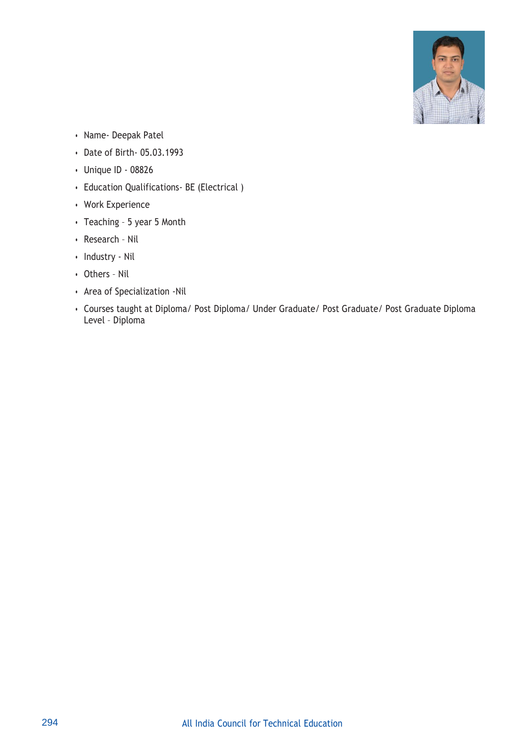

- Name- Deepak Patel
- Date of Birth- 05.03.1993
- Unique ID 08826
- Education Qualifications- BE (Electrical )
- Work Experience
- Teaching 5 year 5 Month
- Research Nil
- Industry Nil
- Others Nil
- Area of Specialization -Nil
- Courses taught at Diploma/ Post Diploma/ Under Graduate/ Post Graduate/ Post Graduate Diploma Level – Diploma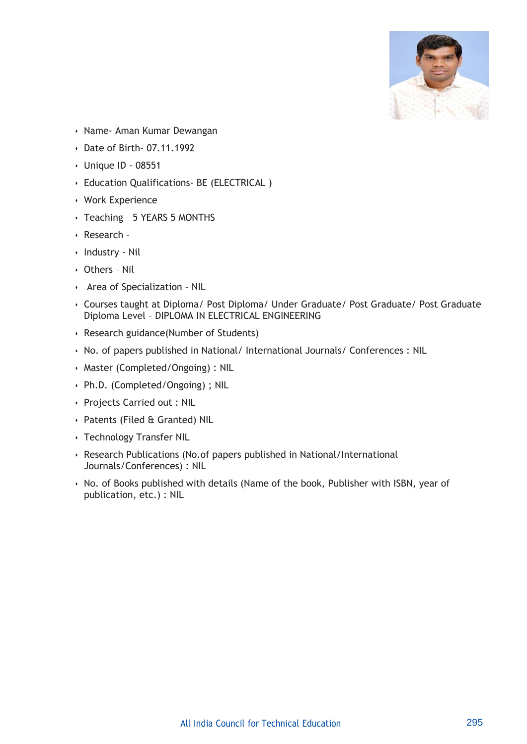

- Name- Aman Kumar Dewangan
- Date of Birth- 07.11.1992
- Unique ID 08551
- Education Qualifications- BE (ELECTRICAL )
- Work Experience
- Teaching 5 YEARS 5 MONTHS
- Research –
- Industry Nil
- Others Nil
- Area of Specialization NIL
- Courses taught at Diploma/ Post Diploma/ Under Graduate/ Post Graduate/ Post Graduate Diploma Level – DIPLOMA IN ELECTRICAL ENGINEERING
- Research guidance(Number of Students)
- No. of papers published in National/ International Journals/ Conferences : NIL
- Master (Completed/Ongoing) : NIL
- Ph.D. (Completed/Ongoing) ; NIL
- Projects Carried out : NIL
- Patents (Filed & Granted) NIL
- Technology Transfer NIL
- Research Publications (No.of papers published in National/International Journals/Conferences) : NIL
- No. of Books published with details (Name of the book, Publisher with ISBN, year of publication, etc.) : NIL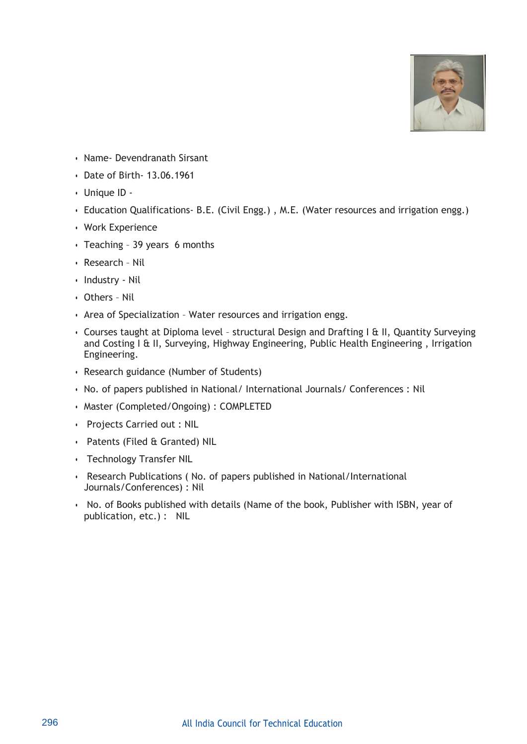

- Name- Devendranath Sirsant
- Date of Birth- 13.06.1961
- Unique ID -
- Education Qualifications- B.E. (Civil Engg.) , M.E. (Water resources and irrigation engg.)
- Work Experience
- Teaching 39 years 6 months
- Research Nil
- Industry Nil
- Others Nil
- Area of Specialization Water resources and irrigation engg.
- Courses taught at Diploma level structural Design and Drafting I & II, Quantity Surveying and Costing I & II, Surveying, Highway Engineering, Public Health Engineering , Irrigation Engineering.
- Research guidance (Number of Students)
- No. of papers published in National/ International Journals/ Conferences : Nil
- Master (Completed/Ongoing) : COMPLETED
- Projects Carried out : NIL
- Patents (Filed & Granted) NIL
- Technology Transfer NIL
- Research Publications ( No. of papers published in National/International Journals/Conferences) : Nil
- No. of Books published with details (Name of the book, Publisher with ISBN, year of publication, etc.) : NIL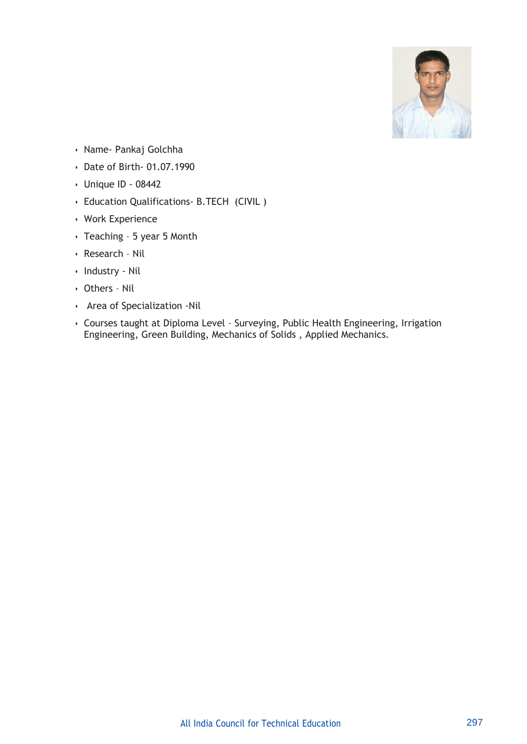

- Name- Pankaj Golchha
- Date of Birth- 01.07.1990
- Unique ID 08442
- Education Qualifications- B.TECH (CIVIL )
- Work Experience
- Teaching 5 year 5 Month
- Research Nil
- Industry Nil
- Others Nil
- Area of Specialization -Nil
- Courses taught at Diploma Level Surveying, Public Health Engineering, Irrigation Engineering, Green Building, Mechanics of Solids , Applied Mechanics.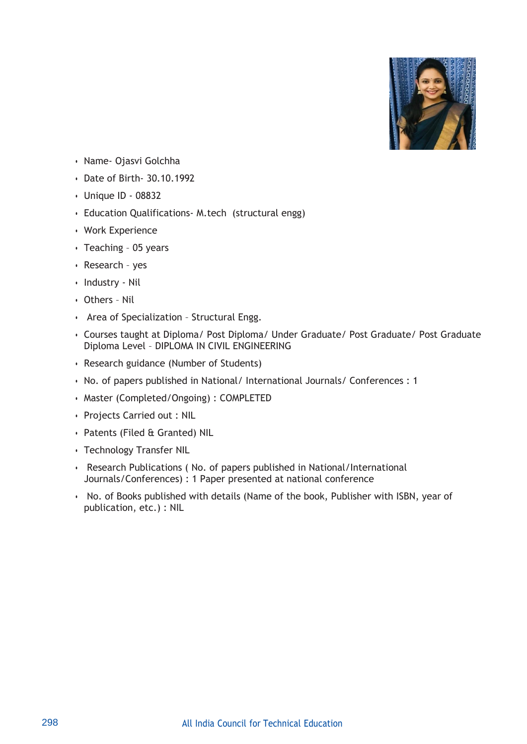

- Name- Ojasvi Golchha
- Date of Birth- 30.10.1992
- Unique ID 08832
- Education Qualifications- M.tech (structural engg)
- Work Experience
- Teaching 05 years
- Research yes
- Industry Nil
- Others Nil
- Area of Specialization Structural Engg.
- Courses taught at Diploma/ Post Diploma/ Under Graduate/ Post Graduate/ Post Graduate Diploma Level – DIPLOMA IN CIVIL ENGINEERING
- Research guidance (Number of Students)
- No. of papers published in National/ International Journals/ Conferences : 1
- Master (Completed/Ongoing) : COMPLETED
- Projects Carried out : NIL
- Patents (Filed & Granted) NIL
- Technology Transfer NIL
- Research Publications ( No. of papers published in National/International Journals/Conferences) : 1 Paper presented at national conference
- No. of Books published with details (Name of the book, Publisher with ISBN, year of publication, etc.) : NIL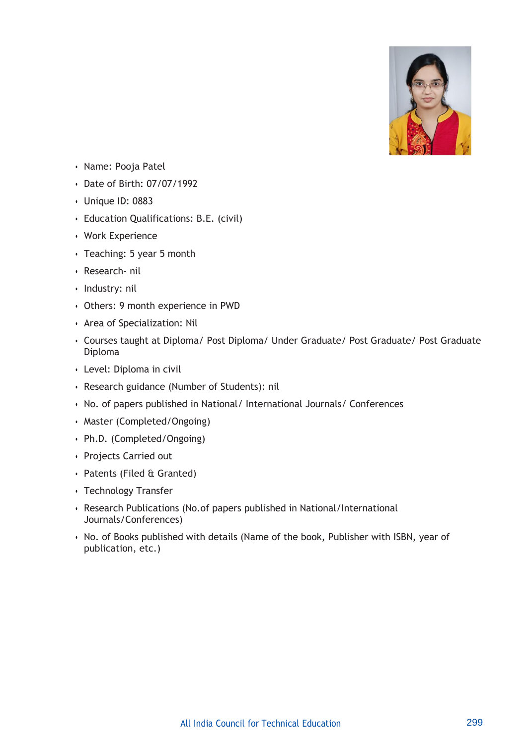

- Name: Pooja Patel
- Date of Birth: 07/07/1992
- Unique ID: 0883
- Education Qualifications: B.E. (civil)
- Work Experience
- Teaching: 5 year 5 month
- Research- nil
- Industry: nil
- Others: 9 month experience in PWD
- Area of Specialization: Nil
- Courses taught at Diploma/ Post Diploma/ Under Graduate/ Post Graduate/ Post Graduate Diploma
- Level: Diploma in civil
- Research guidance (Number of Students): nil
- No. of papers published in National/ International Journals/ Conferences
- Master (Completed/Ongoing)
- Ph.D. (Completed/Ongoing)
- Projects Carried out
- Patents (Filed & Granted)
- Technology Transfer
- Research Publications (No.of papers published in National/International Journals/Conferences)
- No. of Books published with details (Name of the book, Publisher with ISBN, year of publication, etc.)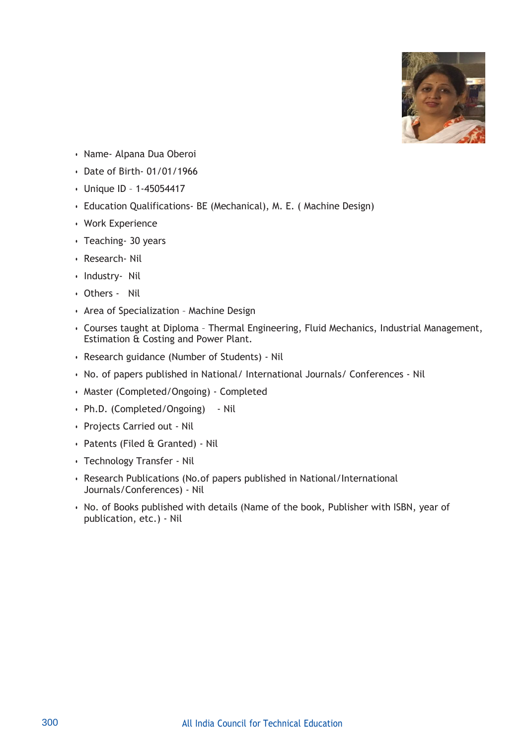

- Name- Alpana Dua Oberoi
- Date of Birth- 01/01/1966
- Unique ID 1-45054417
- Education Qualifications- BE (Mechanical), M. E. ( Machine Design)
- Work Experience
- Teaching- 30 years
- Research- Nil
- Industry- Nil
- Others Nil
- Area of Specialization Machine Design
- Courses taught at Diploma Thermal Engineering, Fluid Mechanics, Industrial Management, Estimation & Costing and Power Plant.
- Research guidance (Number of Students) Nil
- No. of papers published in National/ International Journals/ Conferences Nil
- Master (Completed/Ongoing) Completed
- Ph.D. (Completed/Ongoing) Nil
- Projects Carried out Nil
- Patents (Filed & Granted) Nil
- Technology Transfer Nil
- Research Publications (No.of papers published in National/International Journals/Conferences) - Nil
- No. of Books published with details (Name of the book, Publisher with ISBN, year of publication, etc.) - Nil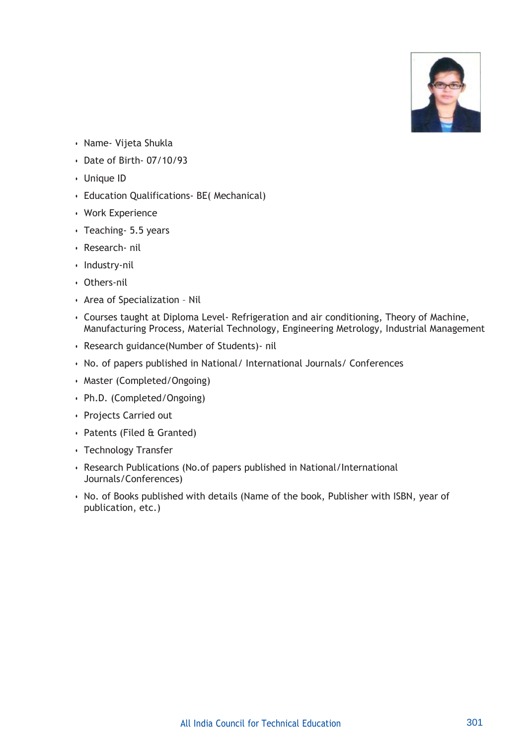

- Name- Vijeta Shukla
- Date of Birth- 07/10/93
- Unique ID
- Education Qualifications- BE( Mechanical)
- Work Experience
- Teaching- 5.5 years
- Research- nil
- Industry-nil
- Others-nil
- Area of Specialization Nil
- Courses taught at Diploma Level- Refrigeration and air conditioning, Theory of Machine, Manufacturing Process, Material Technology, Engineering Metrology, Industrial Management
- Research guidance(Number of Students)- nil
- No. of papers published in National/ International Journals/ Conferences
- Master (Completed/Ongoing)
- Ph.D. (Completed/Ongoing)
- Projects Carried out
- Patents (Filed & Granted)
- Technology Transfer
- Research Publications (No.of papers published in National/International Journals/Conferences)
- No. of Books published with details (Name of the book, Publisher with ISBN, year of publication, etc.)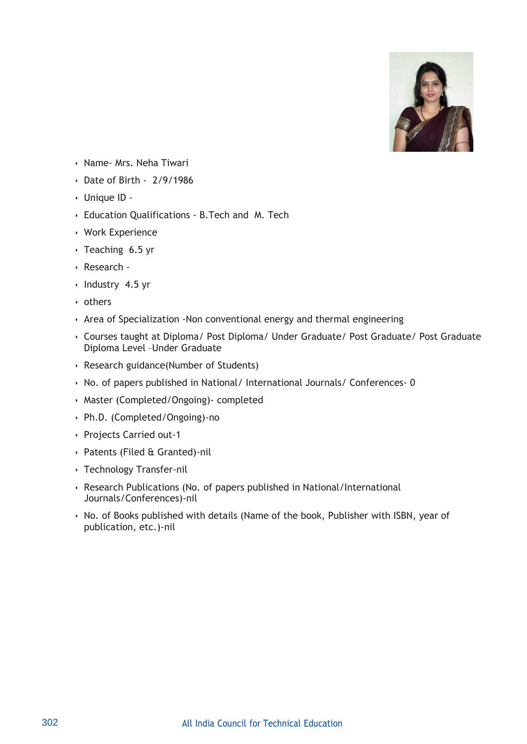

- Name- Mrs. Neha Tiwari
- Date of Birth 2/9/1986
- Unique ID -
- Education Qualifications B.Tech and M. Tech
- Work Experience
- Teaching 6.5 yr
- Research -
- Industry 4.5 yr
- others
- Area of Specialization -Non conventional energy and thermal engineering
- Courses taught at Diploma/ Post Diploma/ Under Graduate/ Post Graduate/ Post Graduate Diploma Level –Under Graduate
- Research guidance(Number of Students)
- No. of papers published in National/ International Journals/ Conferences- 0
- Master (Completed/Ongoing)- completed
- Ph.D. (Completed/Ongoing)-no
- Projects Carried out-1
- Patents (Filed & Granted)-nil
- Technology Transfer-nil
- Research Publications (No. of papers published in National/International Journals/Conferences)-nil
- No. of Books published with details (Name of the book, Publisher with ISBN, year of publication, etc.)-nil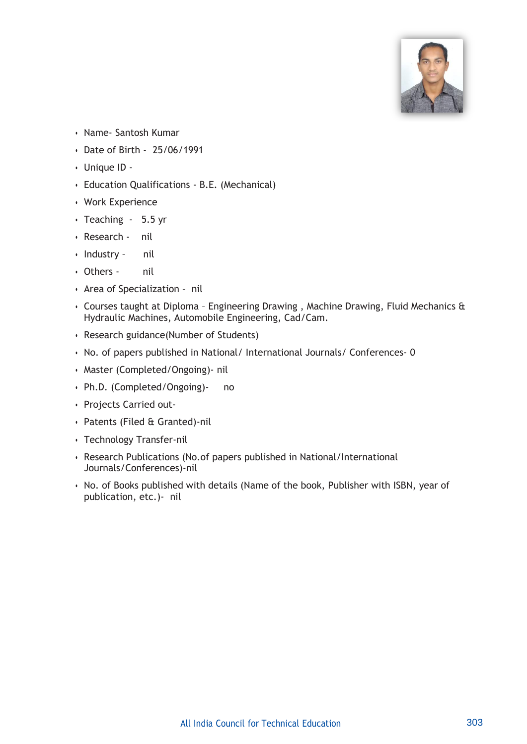

- Name- Santosh Kumar
- Date of Birth 25/06/1991
- Unique ID -
- Education Qualifications B.E. (Mechanical)
- Work Experience
- Teaching 5.5 yr
- Research nil
- Industry nil
- Others nil
- Area of Specialization nil
- Courses taught at Diploma Engineering Drawing , Machine Drawing, Fluid Mechanics & Hydraulic Machines, Automobile Engineering, Cad/Cam.
- Research guidance(Number of Students)
- No. of papers published in National/ International Journals/ Conferences- 0
- Master (Completed/Ongoing)- nil
- Ph.D. (Completed/Ongoing)- no
- Projects Carried out-
- Patents (Filed & Granted)-nil
- Technology Transfer-nil
- Research Publications (No.of papers published in National/International Journals/Conferences)-nil
- No. of Books published with details (Name of the book, Publisher with ISBN, year of publication, etc.)- nil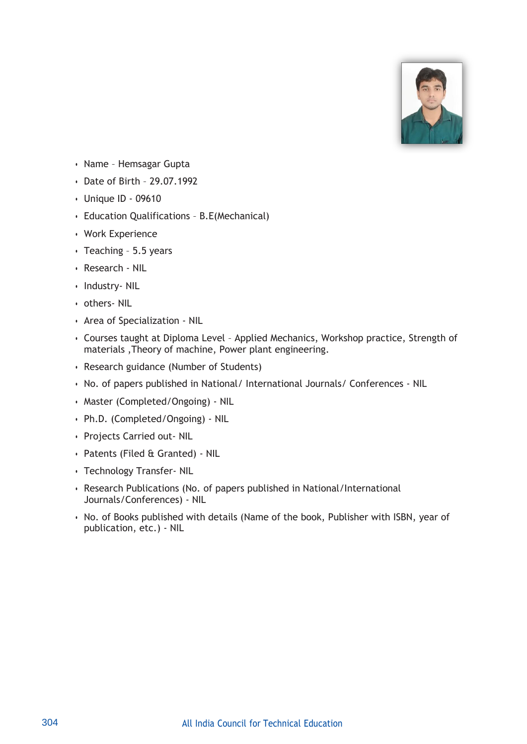

- Name Hemsagar Gupta
- Date of Birth 29.07.1992
- Unique ID 09610
- Education Qualifications B.E(Mechanical)
- Work Experience
- Teaching 5.5 years
- Research NIL
- Industry- NIL
- others- NIL
- Area of Specialization NIL
- Courses taught at Diploma Level Applied Mechanics, Workshop practice, Strength of materials ,Theory of machine, Power plant engineering.
- Research guidance (Number of Students)
- No. of papers published in National/ International Journals/ Conferences NIL
- Master (Completed/Ongoing) NIL
- Ph.D. (Completed/Ongoing) NIL
- Projects Carried out- NIL
- Patents (Filed & Granted) NIL
- Technology Transfer- NIL
- Research Publications (No. of papers published in National/International Journals/Conferences) - NIL
- No. of Books published with details (Name of the book, Publisher with ISBN, year of publication, etc.) - NIL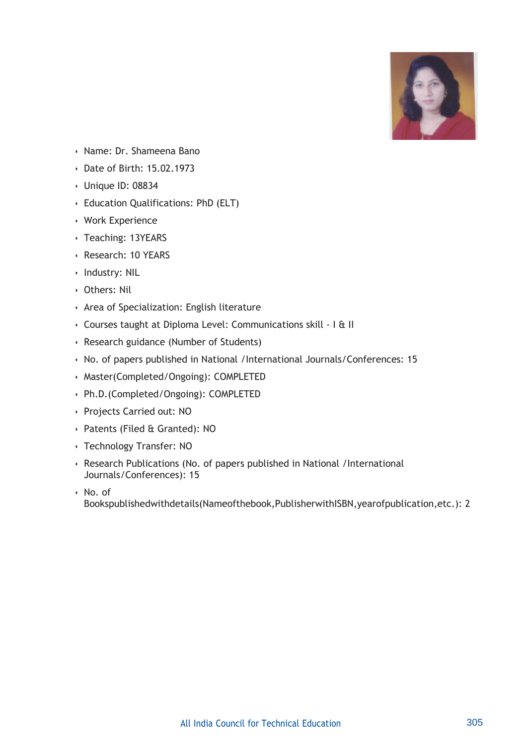

- Name: Dr. Shameena Bano
- Date of Birth: 15.02.1973
- Unique ID: 08834
- Education Qualifications: PhD (ELT)
- Work Experience
- Teaching: 13YEARS
- Research: 10 YEARS
- Industry: NIL
- Others: Nil
- Area of Specialization: English literature
- Courses taught at Diploma Level: Communications skill I & II
- Research guidance (Number of Students)
- No. of papers published in National /International Journals/Conferences: 15
- Master(Completed/Ongoing): COMPLETED
- Ph.D.(Completed/Ongoing): COMPLETED
- Projects Carried out: NO
- Patents (Filed & Granted): NO
- Technology Transfer: NO
- Research Publications (No. of papers published in National /International Journals/Conferences): 15
- No. of

Bookspublishedwithdetails(Nameofthebook,PublisherwithISBN,yearofpublication,etc.): 2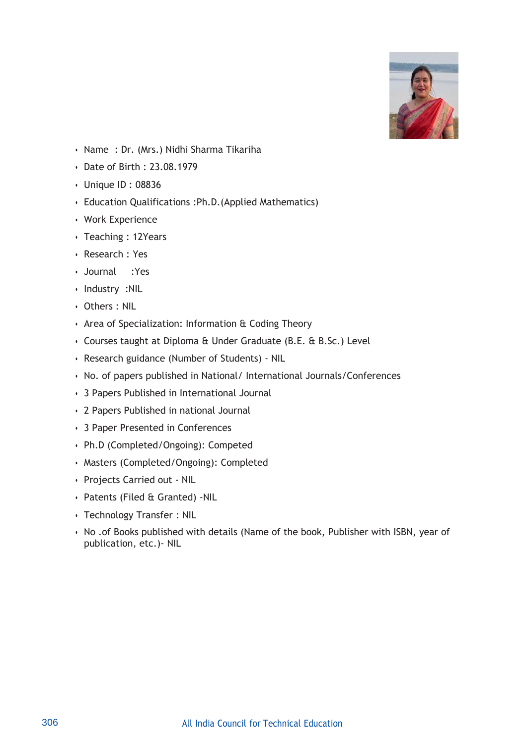

- Name : Dr. (Mrs.) Nidhi Sharma Tikariha
- Date of Birth : 23.08.1979
- Unique ID : 08836
- Education Qualifications :Ph.D.(Applied Mathematics)
- Work Experience
- Teaching : 12Years
- Research : Yes
- Journal :Yes
- Industry :NIL
- Others : NIL
- Area of Specialization: Information & Coding Theory
- Courses taught at Diploma & Under Graduate (B.E. & B.Sc.) Level
- Research guidance (Number of Students) NIL
- No. of papers published in National/ International Journals/Conferences
- 3 Papers Published in International Journal
- 2 Papers Published in national Journal
- 3 Paper Presented in Conferences
- Ph.D (Completed/Ongoing): Competed
- Masters (Completed/Ongoing): Completed
- Projects Carried out NIL
- Patents (Filed & Granted) -NIL
- Technology Transfer : NIL
- No .of Books published with details (Name of the book, Publisher with ISBN, year of publication, etc.)- NIL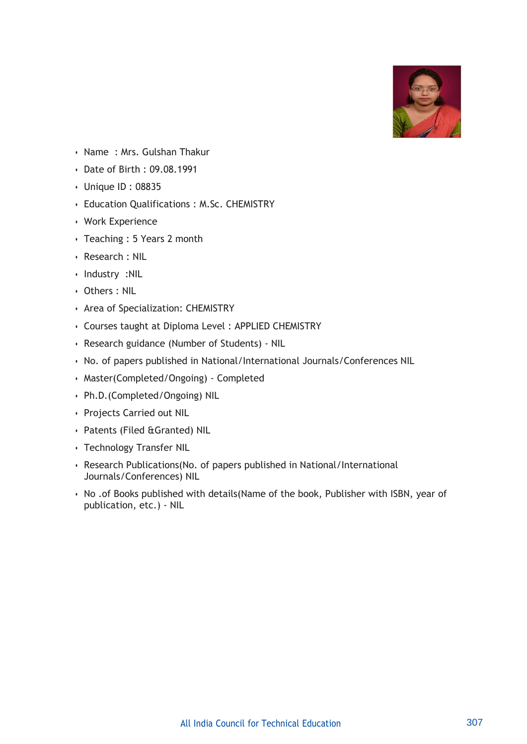

- Name : Mrs. Gulshan Thakur
- Date of Birth : 09.08.1991
- Unique ID : 08835
- Education Qualifications : M.Sc. CHEMISTRY
- Work Experience
- Teaching : 5 Years 2 month
- Research : NIL
- Industry :NIL
- Others : NIL
- Area of Specialization: CHEMISTRY
- Courses taught at Diploma Level : APPLIED CHEMISTRY
- Research guidance (Number of Students) NIL
- No. of papers published in National/International Journals/Conferences NIL
- Master(Completed/Ongoing) Completed
- Ph.D.(Completed/Ongoing) NIL
- Projects Carried out NIL
- Patents (Filed &Granted) NIL
- Technology Transfer NIL
- Research Publications(No. of papers published in National/International Journals/Conferences) NIL
- No .of Books published with details(Name of the book, Publisher with ISBN, year of publication, etc.) - NIL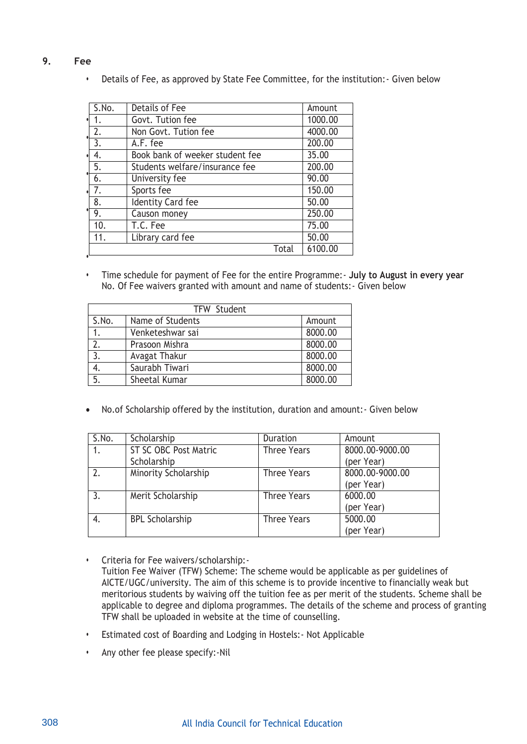**9. Fee**

**•**

**•** Details of Fee, as approved by State Fee Committee, for the institution:- Given below

| S.No.            | Details of Fee                  |       | Amount  |
|------------------|---------------------------------|-------|---------|
| 1.               | Govt. Tution fee                |       | 1000.00 |
| 2.               | Non Govt. Tution fee            |       | 4000.00 |
| 3.               | A.F. fee                        |       | 200.00  |
| 4.               | Book bank of weeker student fee |       | 35.00   |
| 5.               | Students welfare/insurance fee  |       | 200.00  |
| $\overline{6}$ . | University fee                  |       | 90.00   |
| 7.               | Sports fee                      |       | 150.00  |
| 8.               | <b>Identity Card fee</b>        |       | 50.00   |
| 9.               | Causon money                    |       | 250.00  |
| 10.              | T.C. Fee                        |       | 75.00   |
| 11.              | Library card fee                |       | 50.00   |
|                  |                                 | Total | 6100.00 |

**•** Time schedule for payment of Fee for the entire Programme:- **July to August in every year** No. Of Fee waivers granted with amount and name of students:- Given below

|       | <b>TFW Student</b> |         |  |  |
|-------|--------------------|---------|--|--|
| S.No. | Name of Students   | Amount  |  |  |
|       | Venketeshwar sai   | 8000.00 |  |  |
| 2.    | Prasoon Mishra     | 8000.00 |  |  |
| 3.    | Avagat Thakur      |         |  |  |
|       | Saurabh Tiwari     | 8000.00 |  |  |
| 5.    | Sheetal Kumar      | 8000.00 |  |  |

No.of Scholarship offered by the institution, duration and amount:- Given below

| S.No. | Scholarship            | Duration           | Amount          |
|-------|------------------------|--------------------|-----------------|
|       | ST SC OBC Post Matric  | <b>Three Years</b> | 8000.00-9000.00 |
|       | Scholarship            |                    | (per Year)      |
| 2.    | Minority Scholarship   | <b>Three Years</b> | 8000.00-9000.00 |
|       |                        |                    | (per Year)      |
|       | Merit Scholarship      | <b>Three Years</b> | 6000.00         |
|       |                        |                    | (per Year)      |
|       | <b>BPL Scholarship</b> | <b>Three Years</b> | 5000.00         |
|       |                        |                    | (per Year)      |

- **•** Criteria for Fee waivers/scholarship:- Tuition Fee Waiver (TFW) Scheme: The scheme would be applicable as per guidelines of AICTE/UGC/university. The aim of this scheme is to provide incentive to financially weak but meritorious students by waiving off the tuition fee as per merit of the students. Scheme shall be applicable to degree and diploma programmes. The details of the scheme and process of granting TFW shall be uploaded in website at the time of counselling.
- **•** Estimated cost of Boarding and Lodging in Hostels:- Not Applicable
- **•** Any other fee please specify:-Nil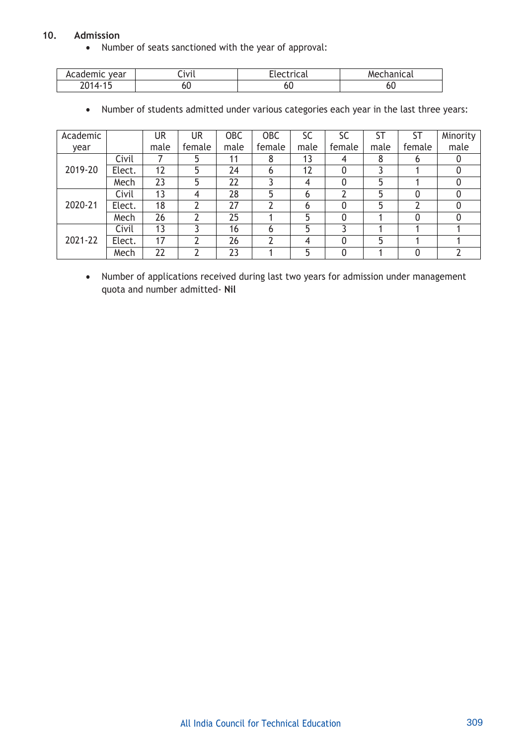### **10. Admission**

Number of seats sanctioned with the year of approval:

| Academic year                         | Civil | Electrical | Mechanical |
|---------------------------------------|-------|------------|------------|
| $^{\circ}$ $^{\circ}$ 14 $^{\circ}$ . | טט    | ou         | ou         |

Number of students admitted under various categories each year in the last three years:

| Academic |        | UR   | UR     | <b>OBC</b> | <b>OBC</b>   | SC   | SC     | ST   | <b>ST</b> | Minority |
|----------|--------|------|--------|------------|--------------|------|--------|------|-----------|----------|
| year     |        | male | female | male       | female       | male | female | male | female    | male     |
|          | Civil  |      | 5      | 11         | 8            | 13   | 4      | 8    | b         |          |
| 2019-20  | Elect. | 12   | 5      | 24         | 6            | 12   | 0      |      |           |          |
|          | Mech   | 23   | 5      | 22         |              | 4    |        | 5    |           |          |
|          | Civil  | 13   | 4      | 28         | 5            | 6    |        | 5    | 0         |          |
| 2020-21  | Elect. | 18   |        | 27         |              | 6    |        | 5    |           |          |
|          | Mech   | 26   | າ      | 25         |              | 5    | 0      |      | 0         |          |
|          | Civil  | 13   |        | 16         | $\mathbf{6}$ | 5    |        |      |           |          |
| 2021-22  | Elect. | 17   |        | 26         |              | 4    | 0      | 5    |           |          |
|          | Mech   | 22   |        | 23         |              | 5    |        |      |           |          |

 Number of applications received during last two years for admission under management quota and number admitted- **Nil**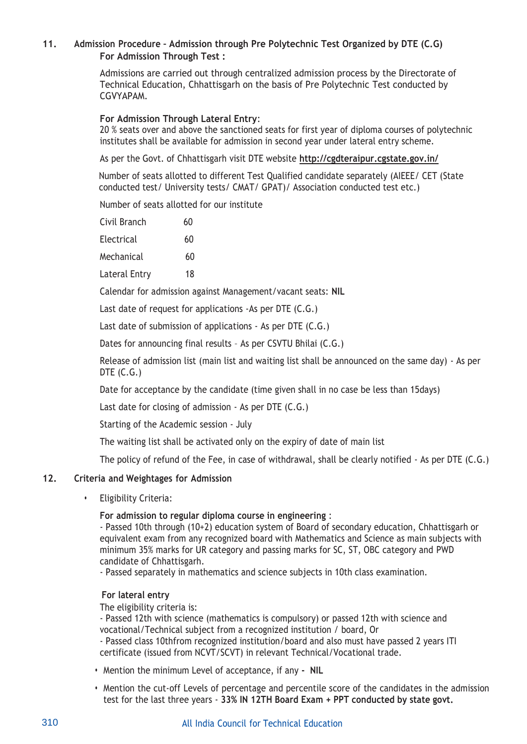# **11. Admission Procedure – Admission through Pre Polytechnic Test Organized by DTE (C.G) For Admission Through Test :**

Admissions are carried out through centralized admission process by the Directorate of Technical Education, Chhattisgarh on the basis of Pre Polytechnic Test conducted by CGVYAPAM.

### **For Admission Through Lateral Entry**:

20 % seats over and above the sanctioned seats for first year of diploma courses of polytechnic institutes shall be available for admission in second year under lateral entry scheme.

As per the Govt. of Chhattisgarh visit DTE website **<http://cgdteraipur.cgstate.gov.in/>**

 Number of seats allotted to different Test Qualified candidate separately (AIEEE/ CET (State conducted test/ University tests/ CMAT/ GPAT)/ Association conducted test etc.)

Number of seats allotted for our institute

| Civil Branch | 60 |
|--------------|----|
| Electrical   | 60 |

Mechanical 60

Lateral Entry 18

Calendar for admission against Management/vacant seats: **NIL**

Last date of request for applications -As per DTE (C.G.)

Last date of submission of applications - As per DTE (C.G.)

Dates for announcing final results – As per CSVTU Bhilai (C.G.)

Release of admission list (main list and waiting list shall be announced on the same day) - As per DTE (C.G.)

Date for acceptance by the candidate (time given shall in no case be less than 15days)

Last date for closing of admission - As per DTE (C.G.)

Starting of the Academic session - July

The waiting list shall be activated only on the expiry of date of main list

The policy of refund of the Fee, in case of withdrawal, shall be clearly notified - As per DTE (C.G.)

### **12. Criteria and Weightages for Admission**

**•** Eligibility Criteria:

#### **For admission to regular diploma course in engineering** :

- Passed 10th through (10+2) education system of Board of secondary education, Chhattisgarh or equivalent exam from any recognized board with Mathematics and Science as main subjects with minimum 35% marks for UR category and passing marks for SC, ST, OBC category and PWD candidate of Chhattisgarh.

- Passed separately in mathematics and science subjects in 10th class examination.

#### **For lateral entry**

The eligibility criteria is:

- Passed 12th with science (mathematics is compulsory) or passed 12th with science and vocational/Technical subject from a recognized institution / board, Or

- Passed class 10thfrom recognized institution/board and also must have passed 2 years ITI certificate (issued from NCVT/SCVT) in relevant Technical/Vocational trade.

- **•** Mention the minimum Level of acceptance, if any **- NIL**
- **•** Mention the cut-off Levels of percentage and percentile score of the candidates in the admission test for the last three years - **33% IN 12TH Board Exam + PPT conducted by state govt.**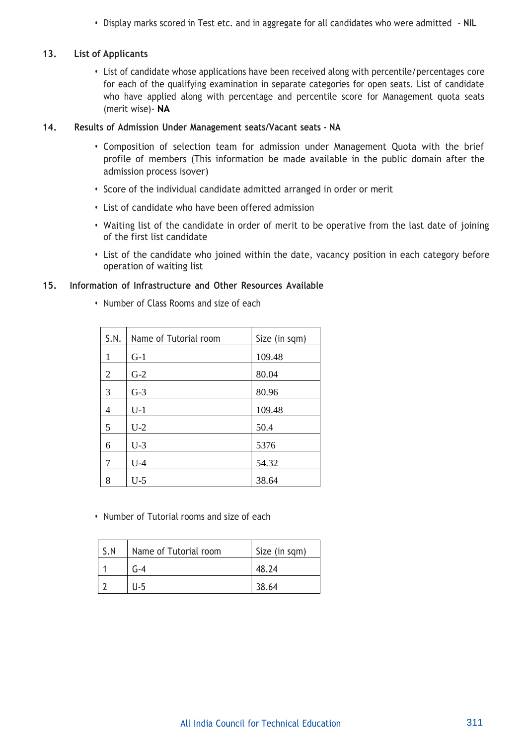**•** Display marks scored in Test etc. and in aggregate for all candidates who were admitted - **NIL**

### **13. List of Applicants**

**•** List of candidate whose applications have been received along with percentile/percentages core for each of the qualifying examination in separate categories for open seats. List of candidate who have applied along with percentage and percentile score for Management quota seats (merit wise)- **NA**

#### **14. Results of Admission Under Management seats/Vacant seats - NA**

- **•** Composition of selection team for admission under Management Quota with the brief profile of members (This information be made available in the public domain after the admission process isover)
- **•** Score of the individual candidate admitted arranged in order or merit
- **•** List of candidate who have been offered admission
- **•** Waiting list of the candidate in order of merit to be operative from the last date of joining of the first list candidate
- **•** List of the candidate who joined within the date, vacancy position in each category before operation of waiting list

### **15. Information of Infrastructure and Other Resources Available**

| S.N. | Name of Tutorial room | Size (in sqm) |
|------|-----------------------|---------------|
| 1    | $G-1$                 | 109.48        |
| 2    | $G-2$                 | 80.04         |
| 3    | $G-3$                 | 80.96         |
| 4    | $U-1$                 | 109.48        |
| 5    | $U-2$                 | 50.4          |
| 6    | $U-3$                 | 5376          |
| 7    | $U-4$                 | 54.32         |
| 8    | $U-5$                 | 38.64         |

**•** Number of Class Rooms and size of each

**•** Number of Tutorial rooms and size of each

| S.N | Name of Tutorial room | Size (in sqm) |
|-----|-----------------------|---------------|
|     | G-4                   | 48.24         |
|     | U-5                   | 38.64         |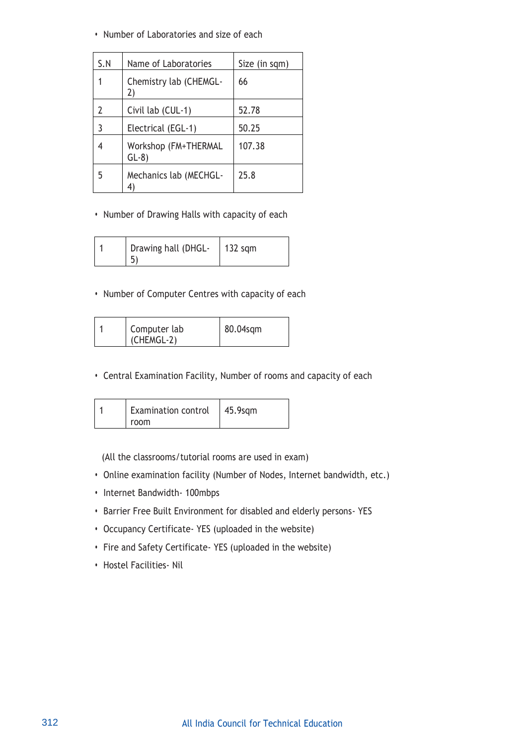**•** Number of Laboratories and size of each

| S.N | Name of Laboratories           | Size (in sqm) |
|-----|--------------------------------|---------------|
|     | Chemistry lab (CHEMGL-<br>2)   | 66            |
| 2   | Civil lab (CUL-1)              | 52.78         |
| 3   | Electrical (EGL-1)             | 50.25         |
|     | Workshop (FM+THERMAL<br>$GL-8$ | 107.38        |
| 5   | Mechanics lab (MECHGL-<br>4)   | 25.8          |

**•** Number of Drawing Halls with capacity of each

| Drawing hall (DHGL-<br>$132$ sqm |  |
|----------------------------------|--|
|----------------------------------|--|

**•** Number of Computer Centres with capacity of each

|  | Computer lab<br>(CHEMGL-2) | 80.04sqm |
|--|----------------------------|----------|
|--|----------------------------|----------|

**•** Central Examination Facility, Number of rooms and capacity of each

| <b>Examination control</b> | $45.9$ sqm |
|----------------------------|------------|
| room                       |            |

(All the classrooms/tutorial rooms are used in exam)

- **•** Online examination facility (Number of Nodes, Internet bandwidth, etc.)
- **•** Internet Bandwidth- 100mbps
- **•** Barrier Free Built Environment for disabled and elderly persons- YES
- **•** Occupancy Certificate- YES (uploaded in the website)
- **•** Fire and Safety Certificate- YES (uploaded in the website)
- **•** Hostel Facilities- Nil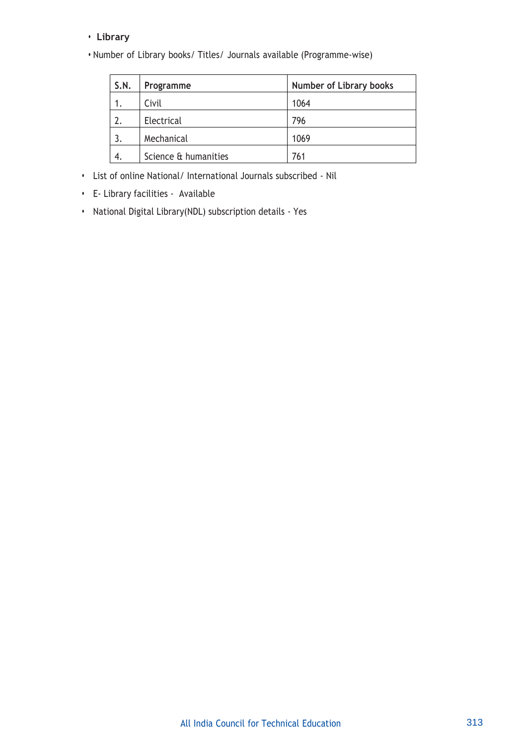# **• Library**

**•** Number of Library books/ Titles/ Journals available (Programme-wise)

| S.N. | Programme            | <b>Number of Library books</b> |
|------|----------------------|--------------------------------|
|      | Civil                | 1064                           |
|      | Electrical           | 796                            |
|      | Mechanical           | 1069                           |
| 4.   | Science & humanities | 761                            |

- **•** List of online National/ International Journals subscribed Nil
- **•** E- Library facilities Available
- **•** National Digital Library(NDL) subscription details Yes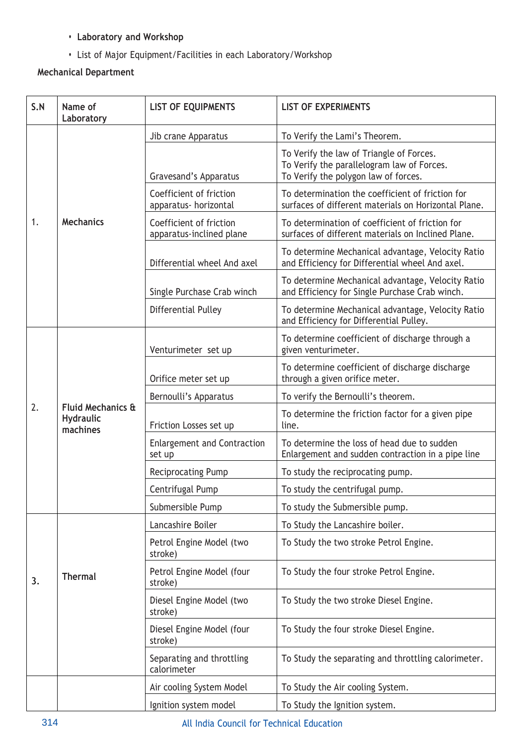- **• Laboratory and Workshop**
- **•** List of Major Equipment/Facilities in each Laboratory/Workshop

# **Mechanical Department**

| S.N | Name of<br>Laboratory                             | <b>LIST OF EQUIPMENTS</b>                           | <b>LIST OF EXPERIMENTS</b>                                                                                                     |
|-----|---------------------------------------------------|-----------------------------------------------------|--------------------------------------------------------------------------------------------------------------------------------|
|     |                                                   | Jib crane Apparatus                                 | To Verify the Lami's Theorem.                                                                                                  |
|     |                                                   | Gravesand's Apparatus                               | To Verify the law of Triangle of Forces.<br>To Verify the parallelogram law of Forces.<br>To Verify the polygon law of forces. |
|     |                                                   | Coefficient of friction<br>apparatus- horizontal    | To determination the coefficient of friction for<br>surfaces of different materials on Horizontal Plane.                       |
| 1.  | <b>Mechanics</b>                                  | Coefficient of friction<br>apparatus-inclined plane | To determination of coefficient of friction for<br>surfaces of different materials on Inclined Plane.                          |
|     |                                                   | Differential wheel And axel                         | To determine Mechanical advantage, Velocity Ratio<br>and Efficiency for Differential wheel And axel.                           |
|     |                                                   | Single Purchase Crab winch                          | To determine Mechanical advantage, Velocity Ratio<br>and Efficiency for Single Purchase Crab winch.                            |
|     |                                                   | Differential Pulley                                 | To determine Mechanical advantage, Velocity Ratio<br>and Efficiency for Differential Pulley.                                   |
|     |                                                   | Venturimeter set up                                 | To determine coefficient of discharge through a<br>given venturimeter.                                                         |
|     |                                                   | Orifice meter set up                                | To determine coefficient of discharge discharge<br>through a given orifice meter.                                              |
|     |                                                   | Bernoulli's Apparatus                               | To verify the Bernoulli's theorem.                                                                                             |
| 2.  | Fluid Mechanics &<br><b>Hydraulic</b><br>machines | Friction Losses set up                              | To determine the friction factor for a given pipe<br>line.                                                                     |
|     |                                                   | <b>Enlargement and Contraction</b><br>set up        | To determine the loss of head due to sudden<br>Enlargement and sudden contraction in a pipe line                               |
|     |                                                   | <b>Reciprocating Pump</b>                           | To study the reciprocating pump.                                                                                               |
|     |                                                   | Centrifugal Pump                                    | To study the centrifugal pump.                                                                                                 |
|     |                                                   | Submersible Pump                                    | To study the Submersible pump.                                                                                                 |
|     |                                                   | Lancashire Boiler                                   | To Study the Lancashire boiler.                                                                                                |
|     |                                                   | Petrol Engine Model (two<br>stroke)                 | To Study the two stroke Petrol Engine.                                                                                         |
| 3.  | <b>Thermal</b>                                    | Petrol Engine Model (four<br>stroke)                | To Study the four stroke Petrol Engine.                                                                                        |
|     |                                                   | Diesel Engine Model (two<br>stroke)                 | To Study the two stroke Diesel Engine.                                                                                         |
|     |                                                   | Diesel Engine Model (four<br>stroke)                | To Study the four stroke Diesel Engine.                                                                                        |
|     |                                                   | Separating and throttling<br>calorimeter            | To Study the separating and throttling calorimeter.                                                                            |
|     |                                                   | Air cooling System Model                            | To Study the Air cooling System.                                                                                               |
|     |                                                   | Ignition system model                               | To Study the Ignition system.                                                                                                  |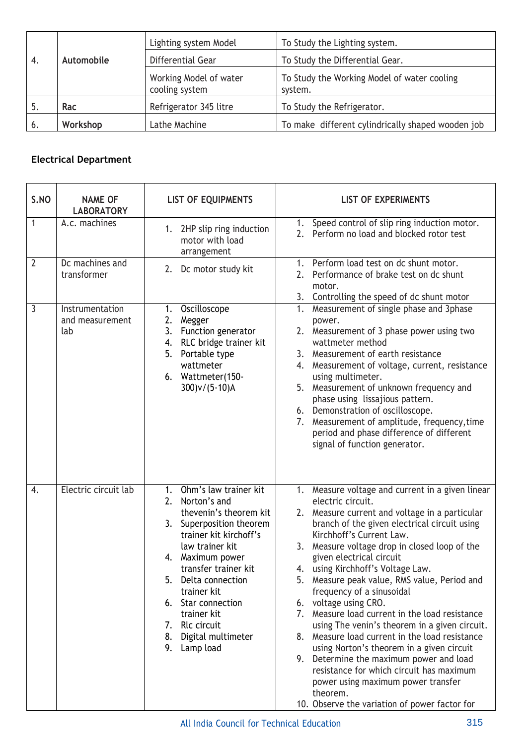|    | Automobile | Lighting system Model                    | To Study the Lighting system.                          |  |
|----|------------|------------------------------------------|--------------------------------------------------------|--|
| 4. |            | Differential Gear                        | To Study the Differential Gear.                        |  |
|    |            | Working Model of water<br>cooling system | To Study the Working Model of water cooling<br>system. |  |
| .כ | Rac        | Refrigerator 345 litre                   | To Study the Refrigerator.                             |  |
| 6. | Workshop   | Lathe Machine                            | To make different cylindrically shaped wooden job      |  |

# **Electrical Department**

| S.NO           | <b>NAME OF</b><br><b>LABORATORY</b>       | <b>LIST OF EQUIPMENTS</b>                                                                                                                                                                                                                                                                                                                    | <b>LIST OF EXPERIMENTS</b>                                                                                                                                                                                                                                                                                                                                                                                                                                                                                                                                                                                                                                                                                                                                                                                                 |
|----------------|-------------------------------------------|----------------------------------------------------------------------------------------------------------------------------------------------------------------------------------------------------------------------------------------------------------------------------------------------------------------------------------------------|----------------------------------------------------------------------------------------------------------------------------------------------------------------------------------------------------------------------------------------------------------------------------------------------------------------------------------------------------------------------------------------------------------------------------------------------------------------------------------------------------------------------------------------------------------------------------------------------------------------------------------------------------------------------------------------------------------------------------------------------------------------------------------------------------------------------------|
| $\mathbf{1}$   | A.c. machines                             | 2HP slip ring induction<br>1.<br>motor with load<br>arrangement                                                                                                                                                                                                                                                                              | 1. Speed control of slip ring induction motor.<br>2. Perform no load and blocked rotor test                                                                                                                                                                                                                                                                                                                                                                                                                                                                                                                                                                                                                                                                                                                                |
| $\overline{2}$ | Dc machines and<br>transformer            | 2. Dc motor study kit                                                                                                                                                                                                                                                                                                                        | 1. Perform load test on dc shunt motor.<br>2. Performance of brake test on dc shunt<br>motor.<br>3. Controlling the speed of dc shunt motor                                                                                                                                                                                                                                                                                                                                                                                                                                                                                                                                                                                                                                                                                |
| 3              | Instrumentation<br>and measurement<br>lab | Oscilloscope<br>1.<br>Megger<br>2.<br>3. Function generator<br>4. RLC bridge trainer kit<br>5. Portable type<br>wattmeter<br>6. Wattmeter(150-<br>$300$ )v/(5-10)A                                                                                                                                                                           | Measurement of single phase and 3phase<br>1.<br>power.<br>Measurement of 3 phase power using two<br>2.<br>wattmeter method<br>3. Measurement of earth resistance<br>Measurement of voltage, current, resistance<br>4.<br>using multimeter.<br>5. Measurement of unknown frequency and<br>phase using lissajious pattern.<br>6. Demonstration of oscilloscope.<br>Measurement of amplitude, frequency, time<br>7.<br>period and phase difference of different<br>signal of function generator.                                                                                                                                                                                                                                                                                                                              |
| 4.             | Electric circuit lab                      | 1. Ohm's law trainer kit<br>2. Norton's and<br>thevenin's theorem kit<br>3. Superposition theorem<br>trainer kit kirchoff's<br>law trainer kit<br>Maximum power<br>4.<br>transfer trainer kit<br>5.<br>Delta connection<br>trainer kit<br>6. Star connection<br>trainer kit<br>7. Rlc circuit<br>8.<br>Digital multimeter<br>9.<br>Lamp load | 1. Measure voltage and current in a given linear<br>electric circuit.<br>2. Measure current and voltage in a particular<br>branch of the given electrical circuit using<br>Kirchhoff's Current Law.<br>Measure voltage drop in closed loop of the<br>3.<br>given electrical circuit<br>4. using Kirchhoff's Voltage Law.<br>Measure peak value, RMS value, Period and<br>frequency of a sinusoidal<br>6. voltage using CRO.<br>7. Measure load current in the load resistance<br>using The venin's theorem in a given circuit.<br>Measure load current in the load resistance<br>8.<br>using Norton's theorem in a given circuit<br>9. Determine the maximum power and load<br>resistance for which circuit has maximum<br>power using maximum power transfer<br>theorem.<br>10. Observe the variation of power factor for |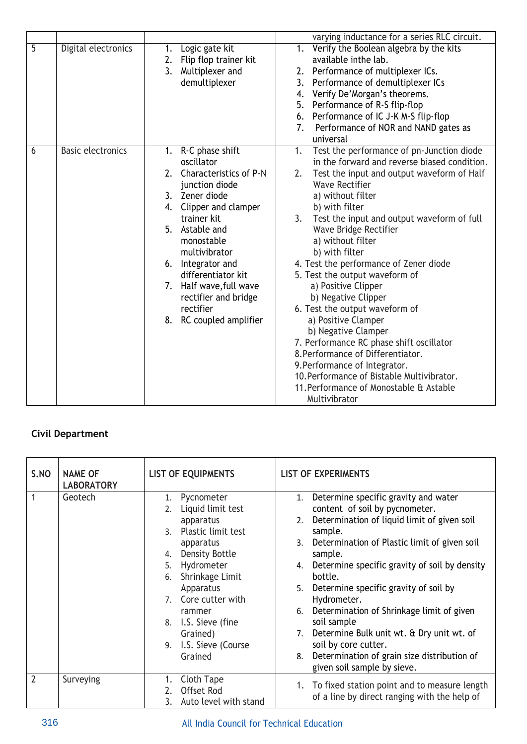|                |                          |                                                                                                                                                                                                                                                                                                                                            | varying inductance for a series RLC circuit.                                                                                                                                                                                                                                                                                                                                                                                                                                                                                                                                                                                                                                                                                                                                  |
|----------------|--------------------------|--------------------------------------------------------------------------------------------------------------------------------------------------------------------------------------------------------------------------------------------------------------------------------------------------------------------------------------------|-------------------------------------------------------------------------------------------------------------------------------------------------------------------------------------------------------------------------------------------------------------------------------------------------------------------------------------------------------------------------------------------------------------------------------------------------------------------------------------------------------------------------------------------------------------------------------------------------------------------------------------------------------------------------------------------------------------------------------------------------------------------------------|
| $\overline{5}$ | Digital electronics      | Logic gate kit<br>1.<br>Flip flop trainer kit<br>2.<br>3. Multiplexer and<br>demultiplexer                                                                                                                                                                                                                                                 | Verify the Boolean algebra by the kits<br>1.<br>available inthe lab.<br>2. Performance of multiplexer ICs.<br>3.<br>Performance of demultiplexer ICs<br>Verify De'Morgan's theorems.<br>4.<br>Performance of R-S flip-flop<br>5.<br>Performance of IC J-K M-S flip-flop<br>6.<br>7.<br>Performance of NOR and NAND gates as<br>universal                                                                                                                                                                                                                                                                                                                                                                                                                                      |
| 6              | <b>Basic electronics</b> | 1. R-C phase shift<br>oscillator<br>2.<br>Characteristics of P-N<br>junction diode<br>3. Zener diode<br>4. Clipper and clamper<br>trainer kit<br>5. Astable and<br>monostable<br>multivibrator<br>Integrator and<br>6.<br>differentiator kit<br>7. Half wave, full wave<br>rectifier and bridge<br>rectifier<br>RC coupled amplifier<br>8. | Test the performance of pn-Junction diode<br>1.<br>in the forward and reverse biased condition.<br>2.<br>Test the input and output waveform of Half<br><b>Wave Rectifier</b><br>a) without filter<br>b) with filter<br>Test the input and output waveform of full<br>3.<br>Wave Bridge Rectifier<br>a) without filter<br>b) with filter<br>4. Test the performance of Zener diode<br>5. Test the output waveform of<br>a) Positive Clipper<br>b) Negative Clipper<br>6. Test the output waveform of<br>a) Positive Clamper<br>b) Negative Clamper<br>7. Performance RC phase shift oscillator<br>8. Performance of Differentiator.<br>9. Performance of Integrator.<br>10. Performance of Bistable Multivibrator.<br>11. Performance of Monostable & Astable<br>Multivibrator |

# **Civil Department**

| S.NO           | <b>NAME OF</b><br><b>LABORATORY</b> | <b>LIST OF EQUIPMENTS</b>          | <b>LIST OF EXPERIMENTS</b>                                                                      |  |
|----------------|-------------------------------------|------------------------------------|-------------------------------------------------------------------------------------------------|--|
| 1              | Geotech                             | 1. Pycnometer<br>Liquid limit test | 1. Determine specific gravity and water<br>content of soil by pycnometer.                       |  |
|                |                                     | apparatus                          | Determination of liquid limit of given soil<br>2.                                               |  |
|                |                                     | Plastic limit test<br>$\mathsf{R}$ | sample.                                                                                         |  |
|                |                                     | apparatus                          | Determination of Plastic limit of given soil<br>3.                                              |  |
|                |                                     | Density Bottle<br>4.               | sample.                                                                                         |  |
|                |                                     | Hydrometer<br>5.                   | Determine specific gravity of soil by density<br>4.                                             |  |
|                |                                     | Shrinkage Limit<br>6.              | bottle.                                                                                         |  |
|                |                                     | Apparatus                          | Determine specific gravity of soil by<br>5.                                                     |  |
|                |                                     | Core cutter with<br>7 <sup>1</sup> | Hydrometer.                                                                                     |  |
|                |                                     | rammer                             | Determination of Shrinkage limit of given<br>6.                                                 |  |
|                |                                     | I.S. Sieve (fine<br>8.             | soil sample                                                                                     |  |
|                |                                     | Grained)                           | 7. Determine Bulk unit wt. & Dry unit wt. of                                                    |  |
|                |                                     | I.S. Sieve (Course<br>9.           | soil by core cutter.                                                                            |  |
|                |                                     | Grained                            | Determination of grain size distribution of<br>8.                                               |  |
|                |                                     |                                    | given soil sample by sieve.                                                                     |  |
| $\overline{2}$ | Surveying                           | Cloth Tape<br>1.<br>Offset Rod     | 1. To fixed station point and to measure length<br>of a line by direct ranging with the help of |  |
|                |                                     | Auto level with stand<br>3.        |                                                                                                 |  |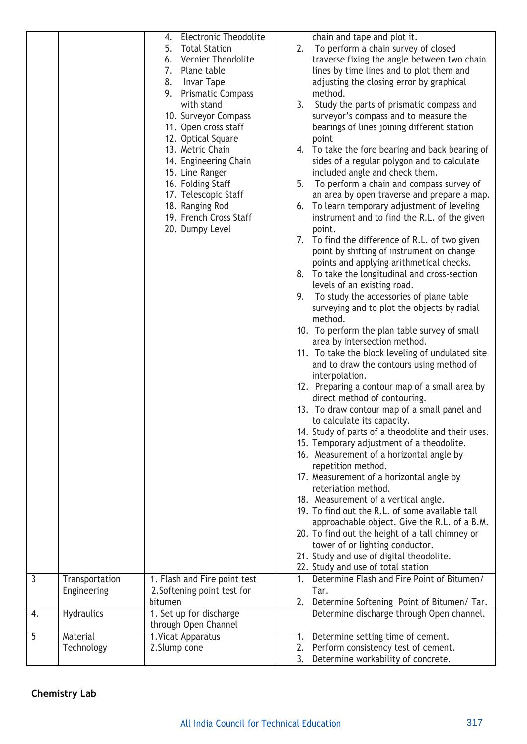|                |                               | <b>Electronic Theodolite</b><br>4.<br><b>Total Station</b><br>5.<br>6. Vernier Theodolite<br>7. Plane table<br>8.<br>Invar Tape<br>9. Prismatic Compass<br>with stand<br>10. Surveyor Compass<br>11. Open cross staff<br>12. Optical Square<br>13. Metric Chain<br>14. Engineering Chain<br>15. Line Ranger<br>16. Folding Staff<br>17. Telescopic Staff<br>18. Ranging Rod<br>19. French Cross Staff<br>20. Dumpy Level | chain and tape and plot it.<br>To perform a chain survey of closed<br>2.<br>traverse fixing the angle between two chain<br>lines by time lines and to plot them and<br>adjusting the closing error by graphical<br>method.<br>3.<br>Study the parts of prismatic compass and<br>surveyor's compass and to measure the<br>bearings of lines joining different station<br>point<br>4. To take the fore bearing and back bearing of<br>sides of a regular polygon and to calculate<br>included angle and check them.<br>5.<br>To perform a chain and compass survey of<br>an area by open traverse and prepare a map.<br>6. To learn temporary adjustment of leveling<br>instrument and to find the R.L. of the given<br>point.<br>7. To find the difference of R.L. of two given<br>point by shifting of instrument on change<br>points and applying arithmetical checks.<br>8. To take the longitudinal and cross-section<br>levels of an existing road.<br>To study the accessories of plane table<br>9.<br>surveying and to plot the objects by radial<br>method.<br>10. To perform the plan table survey of small<br>area by intersection method.<br>11. To take the block leveling of undulated site<br>and to draw the contours using method of<br>interpolation.<br>12. Preparing a contour map of a small area by<br>direct method of contouring.<br>13. To draw contour map of a small panel and<br>to calculate its capacity.<br>14. Study of parts of a theodolite and their uses.<br>15. Temporary adjustment of a theodolite.<br>16. Measurement of a horizontal angle by<br>repetition method.<br>17. Measurement of a horizontal angle by<br>reteriation method.<br>18. Measurement of a vertical angle.<br>19. To find out the R.L. of some available tall<br>approachable object. Give the R.L. of a B.M.<br>20. To find out the height of a tall chimney or<br>tower of or lighting conductor.<br>21. Study and use of digital theodolite.<br>22. Study and use of total station |
|----------------|-------------------------------|--------------------------------------------------------------------------------------------------------------------------------------------------------------------------------------------------------------------------------------------------------------------------------------------------------------------------------------------------------------------------------------------------------------------------|--------------------------------------------------------------------------------------------------------------------------------------------------------------------------------------------------------------------------------------------------------------------------------------------------------------------------------------------------------------------------------------------------------------------------------------------------------------------------------------------------------------------------------------------------------------------------------------------------------------------------------------------------------------------------------------------------------------------------------------------------------------------------------------------------------------------------------------------------------------------------------------------------------------------------------------------------------------------------------------------------------------------------------------------------------------------------------------------------------------------------------------------------------------------------------------------------------------------------------------------------------------------------------------------------------------------------------------------------------------------------------------------------------------------------------------------------------------------------------------------------------------------------------------------------------------------------------------------------------------------------------------------------------------------------------------------------------------------------------------------------------------------------------------------------------------------------------------------------------------------------------------------------------------------------------------------------------------------------------------------------|
| $\overline{3}$ | Transportation<br>Engineering | 1. Flash and Fire point test<br>2. Softening point test for                                                                                                                                                                                                                                                                                                                                                              | Determine Flash and Fire Point of Bitumen/<br>1 <sub>1</sub><br>Tar.                                                                                                                                                                                                                                                                                                                                                                                                                                                                                                                                                                                                                                                                                                                                                                                                                                                                                                                                                                                                                                                                                                                                                                                                                                                                                                                                                                                                                                                                                                                                                                                                                                                                                                                                                                                                                                                                                                                             |
|                |                               | bitumen                                                                                                                                                                                                                                                                                                                                                                                                                  | Determine Softening Point of Bitumen/ Tar.<br>2.                                                                                                                                                                                                                                                                                                                                                                                                                                                                                                                                                                                                                                                                                                                                                                                                                                                                                                                                                                                                                                                                                                                                                                                                                                                                                                                                                                                                                                                                                                                                                                                                                                                                                                                                                                                                                                                                                                                                                 |
| 4.             | <b>Hydraulics</b>             | 1. Set up for discharge<br>through Open Channel                                                                                                                                                                                                                                                                                                                                                                          | Determine discharge through Open channel.                                                                                                                                                                                                                                                                                                                                                                                                                                                                                                                                                                                                                                                                                                                                                                                                                                                                                                                                                                                                                                                                                                                                                                                                                                                                                                                                                                                                                                                                                                                                                                                                                                                                                                                                                                                                                                                                                                                                                        |
| 5              | Material<br>Technology        | 1. Vicat Apparatus<br>2. Slump cone                                                                                                                                                                                                                                                                                                                                                                                      | 1. Determine setting time of cement.<br>Perform consistency test of cement.<br>2.                                                                                                                                                                                                                                                                                                                                                                                                                                                                                                                                                                                                                                                                                                                                                                                                                                                                                                                                                                                                                                                                                                                                                                                                                                                                                                                                                                                                                                                                                                                                                                                                                                                                                                                                                                                                                                                                                                                |
|                |                               |                                                                                                                                                                                                                                                                                                                                                                                                                          | 3.<br>Determine workability of concrete.                                                                                                                                                                                                                                                                                                                                                                                                                                                                                                                                                                                                                                                                                                                                                                                                                                                                                                                                                                                                                                                                                                                                                                                                                                                                                                                                                                                                                                                                                                                                                                                                                                                                                                                                                                                                                                                                                                                                                         |

# **Chemistry Lab**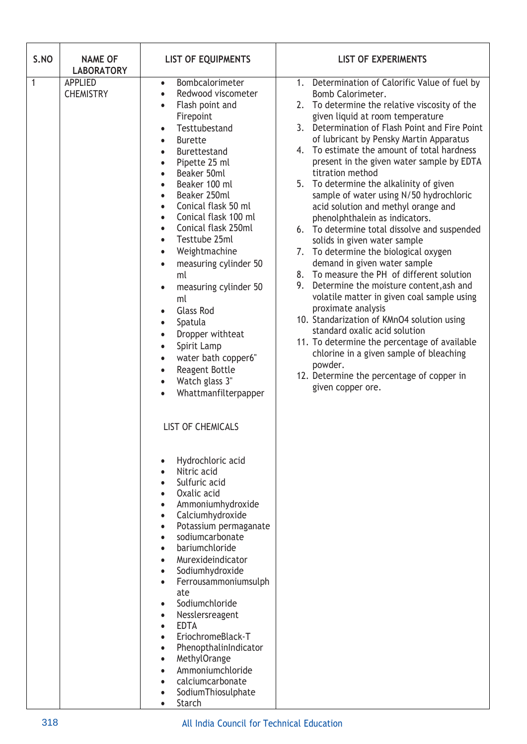| S.NO | <b>NAME OF</b><br><b>LABORATORY</b>                                                                                                                                                                                                                                                                                                                                                                                                                                                                                                                                                                                                                                                                                 | <b>LIST OF EQUIPMENTS</b>                                                                                                                                                                                                                                                                                                                                                                                                                                               | <b>LIST OF EXPERIMENTS</b>                                                                                                                                                                                                                                                                                                                                                                                                                                                                                                                                                                                                                                                                                                                                                                                                                                                                                                                                                                                                                                                                                           |  |  |
|------|---------------------------------------------------------------------------------------------------------------------------------------------------------------------------------------------------------------------------------------------------------------------------------------------------------------------------------------------------------------------------------------------------------------------------------------------------------------------------------------------------------------------------------------------------------------------------------------------------------------------------------------------------------------------------------------------------------------------|-------------------------------------------------------------------------------------------------------------------------------------------------------------------------------------------------------------------------------------------------------------------------------------------------------------------------------------------------------------------------------------------------------------------------------------------------------------------------|----------------------------------------------------------------------------------------------------------------------------------------------------------------------------------------------------------------------------------------------------------------------------------------------------------------------------------------------------------------------------------------------------------------------------------------------------------------------------------------------------------------------------------------------------------------------------------------------------------------------------------------------------------------------------------------------------------------------------------------------------------------------------------------------------------------------------------------------------------------------------------------------------------------------------------------------------------------------------------------------------------------------------------------------------------------------------------------------------------------------|--|--|
| 1    | <b>APPLIED</b><br>Bombcalorimeter<br>$\bullet$<br>Redwood viscometer<br><b>CHEMISTRY</b><br>$\bullet$<br>Flash point and<br>Firepoint<br>Testtubestand<br><b>Burette</b><br>$\bullet$<br>Burettestand<br>Pipette 25 ml<br>Beaker 50ml<br>Beaker 100 ml<br>Beaker 250ml<br>Conical flask 50 ml<br>Conical flask 100 ml<br>Conical flask 250ml<br>Testtube 25ml<br>Weightmachine<br>measuring cylinder 50<br>$\bullet$<br>ml<br>measuring cylinder 50<br>ml<br><b>Glass Rod</b><br>Spatula<br>$\bullet$<br>Dropper withteat<br>Spirit Lamp<br>$\bullet$<br>water bath copper6"<br>Reagent Bottle<br>$\bullet$<br>Watch glass 3"<br>$\bullet$<br>Whattmanfilterpapper<br><b>LIST OF CHEMICALS</b><br>Hydrochloric acid |                                                                                                                                                                                                                                                                                                                                                                                                                                                                         | 1. Determination of Calorific Value of fuel by<br>Bomb Calorimeter.<br>2. To determine the relative viscosity of the<br>given liquid at room temperature<br>3. Determination of Flash Point and Fire Point<br>of lubricant by Pensky Martin Apparatus<br>4. To estimate the amount of total hardness<br>present in the given water sample by EDTA<br>titration method<br>5. To determine the alkalinity of given<br>sample of water using N/50 hydrochloric<br>acid solution and methyl orange and<br>phenolphthalein as indicators.<br>6. To determine total dissolve and suspended<br>solids in given water sample<br>7. To determine the biological oxygen<br>demand in given water sample<br>8. To measure the PH of different solution<br>9. Determine the moisture content, ash and<br>volatile matter in given coal sample using<br>proximate analysis<br>10. Standarization of KMnO4 solution using<br>standard oxalic acid solution<br>11. To determine the percentage of available<br>chlorine in a given sample of bleaching<br>powder.<br>12. Determine the percentage of copper in<br>given copper ore. |  |  |
|      |                                                                                                                                                                                                                                                                                                                                                                                                                                                                                                                                                                                                                                                                                                                     | Nitric acid<br>Sulfuric acid<br>Oxalic acid<br>Ammoniumhydroxide<br>$\bullet$<br>Calciumhydroxide<br>$\bullet$<br>Potassium permaganate<br>$\bullet$<br>sodiumcarbonate<br>bariumchloride<br>Murexideindicator<br>Sodiumhydroxide<br>$\bullet$<br>Ferrousammoniumsulph<br>ate<br>Sodiumchloride<br>Nesslersreagent<br><b>EDTA</b><br>EriochromeBlack-T<br>PhenopthalinIndicator<br>MethylOrange<br>Ammoniumchloride<br>calciumcarbonate<br>SodiumThiosulphate<br>Starch |                                                                                                                                                                                                                                                                                                                                                                                                                                                                                                                                                                                                                                                                                                                                                                                                                                                                                                                                                                                                                                                                                                                      |  |  |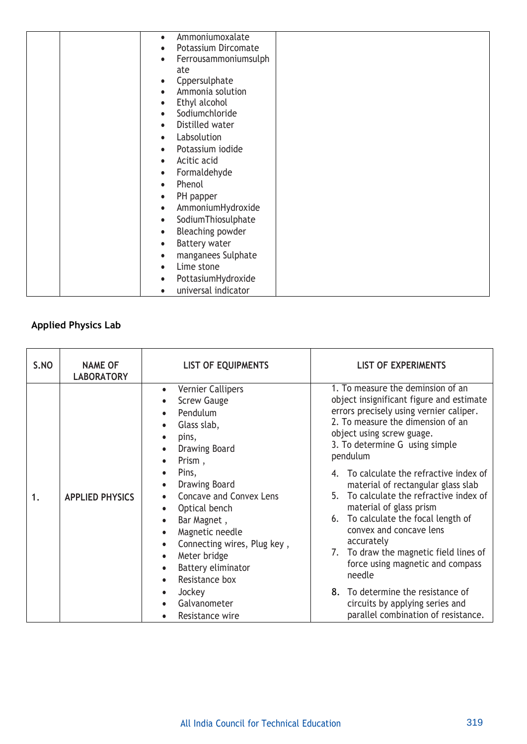| Ammoniumoxalate<br>$\bullet$      |  |
|-----------------------------------|--|
| Potassium Dircomate               |  |
|                                   |  |
| Ferrousammoniumsulph              |  |
| ate                               |  |
| Cppersulphate                     |  |
| Ammonia solution                  |  |
| Ethyl alcohol<br>$\bullet$        |  |
| Sodiumchloride                    |  |
| Distilled water<br>$\bullet$      |  |
| Labsolution<br>$\bullet$          |  |
| Potassium iodide<br>$\bullet$     |  |
| Acitic acid<br>$\bullet$          |  |
| Formaldehyde<br>$\bullet$         |  |
| Phenol<br>$\bullet$               |  |
| PH papper<br>$\bullet$            |  |
| AmmoniumHydroxide<br>$\bullet$    |  |
| SodiumThiosulphate<br>$\bullet$   |  |
| Bleaching powder<br>$\bullet$     |  |
| <b>Battery water</b><br>$\bullet$ |  |
| manganees Sulphate<br>$\bullet$   |  |
| Lime stone<br>$\bullet$           |  |
| PottasiumHydroxide<br>$\bullet$   |  |
| universal indicator               |  |

# **Applied Physics Lab**

| S.NO | <b>NAME OF</b><br><b>LABORATORY</b> | <b>LIST OF EQUIPMENTS</b>                                                                                                                                                                                                                                                                                                                                               | <b>LIST OF EXPERIMENTS</b>                                                                                                                                                                                                                                                                                                                                                                                                                                                                                                                                                                                                                                                             |  |  |
|------|-------------------------------------|-------------------------------------------------------------------------------------------------------------------------------------------------------------------------------------------------------------------------------------------------------------------------------------------------------------------------------------------------------------------------|----------------------------------------------------------------------------------------------------------------------------------------------------------------------------------------------------------------------------------------------------------------------------------------------------------------------------------------------------------------------------------------------------------------------------------------------------------------------------------------------------------------------------------------------------------------------------------------------------------------------------------------------------------------------------------------|--|--|
| 1.   | <b>APPLIED PHYSICS</b>              | Vernier Callipers<br><b>Screw Gauge</b><br>Pendulum<br>Glass slab,<br>pins,<br><b>Drawing Board</b><br>Prism,<br>Pins,<br><b>Drawing Board</b><br><b>Concave and Convex Lens</b><br>Optical bench<br>Bar Magnet,<br>Magnetic needle<br>Connecting wires, Plug key,<br>Meter bridge<br>Battery eliminator<br>Resistance box<br>Jockey<br>Galvanometer<br>Resistance wire | 1. To measure the deminsion of an<br>object insignificant figure and estimate<br>errors precisely using vernier caliper.<br>2. To measure the dimension of an<br>object using screw guage.<br>3. To determine G using simple<br>pendulum<br>4. To calculate the refractive index of<br>material of rectangular glass slab<br>5. To calculate the refractive index of<br>material of glass prism<br>6. To calculate the focal length of<br>convex and concave lens<br>accurately<br>7. To draw the magnetic field lines of<br>force using magnetic and compass<br>needle<br>8. To determine the resistance of<br>circuits by applying series and<br>parallel combination of resistance. |  |  |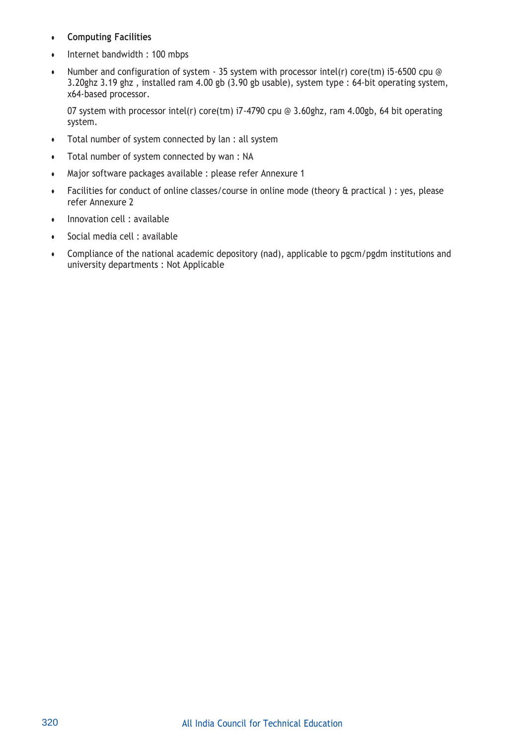- **Computing Facilities**
- Internet bandwidth : 100 mbps
- Number and configuration of system 35 system with processor intel(r) core(tm) i5-6500 cpu @ 3.20ghz 3.19 ghz , installed ram 4.00 gb (3.90 gb usable), system type : 64-bit operating system, x64-based processor.

07 system with processor intel(r) core(tm) i7-4790 cpu @ 3.60ghz, ram 4.00gb, 64 bit operating system.

- Total number of system connected by lan : all system
- Total number of system connected by wan : NA
- Major software packages available : please refer Annexure 1
- Facilities for conduct of online classes/course in online mode (theory & practical ) : yes, please refer Annexure 2
- Innovation cell : available
- Social media cell : available
- Compliance of the national academic depository (nad), applicable to pgcm/pgdm institutions and university departments : Not Applicable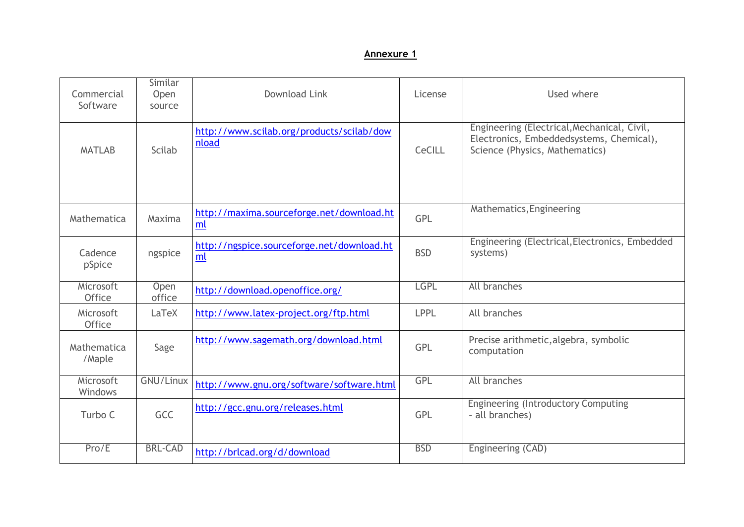### **Annexure 1**

| Commercial<br>Software     | Similar<br>Open<br>source | Download Link                                      | License     | Used where                                                                                                                |
|----------------------------|---------------------------|----------------------------------------------------|-------------|---------------------------------------------------------------------------------------------------------------------------|
| Scilab<br><b>MATLAB</b>    |                           | http://www.scilab.org/products/scilab/dow<br>nload | CeCILL      | Engineering (Electrical, Mechanical, Civil,<br>Electronics, Embeddedsystems, Chemical),<br>Science (Physics, Mathematics) |
| Mathematica                | Maxima                    | http://maxima.sourceforge.net/download.ht<br>ml    | <b>GPL</b>  | Mathematics, Engineering                                                                                                  |
| Cadence<br>pSpice          | ngspice                   | http://ngspice.sourceforge.net/download.ht<br>ml   | <b>BSD</b>  | Engineering (Electrical, Electronics, Embedded<br>systems)                                                                |
| Microsoft<br><b>Office</b> | Open<br>office            | http://download.openoffice.org/                    | <b>LGPL</b> | All branches                                                                                                              |
| Microsoft<br><b>Office</b> | LaTeX                     | http://www.latex-project.org/ftp.html              | <b>LPPL</b> | All branches                                                                                                              |
| Mathematica<br>/Maple      | Sage                      | http://www.sagemath.org/download.html              | <b>GPL</b>  | Precise arithmetic, algebra, symbolic<br>computation                                                                      |
| Microsoft<br>Windows       | GNU/Linux                 | http://www.gnu.org/software/software.html          | GPL         | All branches                                                                                                              |
| Turbo C                    | <b>GCC</b>                | http://gcc.gnu.org/releases.html                   | <b>GPL</b>  | <b>Engineering (Introductory Computing</b><br>- all branches)                                                             |
| Pro/E                      | <b>BRL-CAD</b>            | http://brlcad.org/d/download                       | <b>BSD</b>  | Engineering (CAD)                                                                                                         |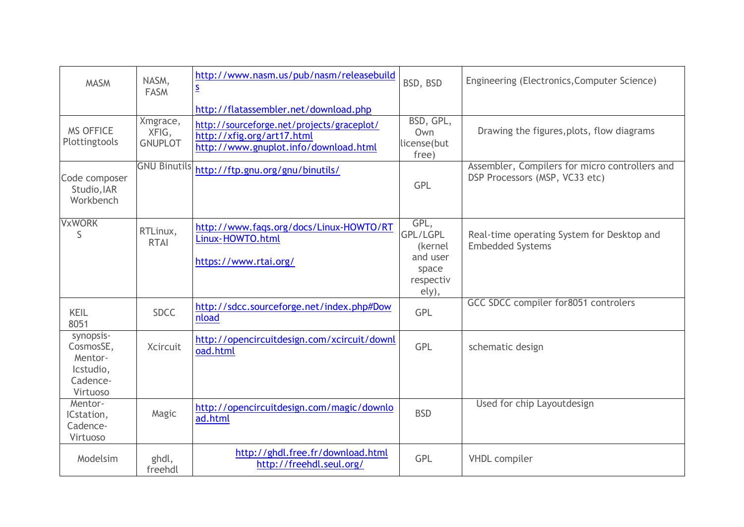| <b>MASM</b>                                                            | NASM,<br><b>FASM</b>                | http://www.nasm.us/pub/nasm/releasebuild<br>$\overline{\mathbf{S}}$                                               | BSD, BSD                                                               | Engineering (Electronics, Computer Science)                                      |
|------------------------------------------------------------------------|-------------------------------------|-------------------------------------------------------------------------------------------------------------------|------------------------------------------------------------------------|----------------------------------------------------------------------------------|
|                                                                        |                                     | http://flatassembler.net/download.php                                                                             |                                                                        |                                                                                  |
| <b>MS OFFICE</b><br>Plottingtools                                      | Xmgrace,<br>XFIG,<br><b>GNUPLOT</b> | http://sourceforge.net/projects/graceplot/<br>http://xfig.org/art17.html<br>http://www.gnuplot.info/download.html | BSD, GPL,<br>Own<br>license(but<br>free)                               | Drawing the figures, plots, flow diagrams                                        |
| Code composer<br>Studio, IAR<br>Workbench                              |                                     | GNU Binutils http://ftp.gnu.org/gnu/binutils/                                                                     | GPL                                                                    | Assembler, Compilers for micro controllers and<br>DSP Processors (MSP, VC33 etc) |
| <b>VxWORK</b><br>S                                                     | RTLinux,<br><b>RTAI</b>             | http://www.faqs.org/docs/Linux-HOWTO/RT<br>Linux-HOWTO.html<br>https://www.rtai.org/                              | GPL,<br>GPL/LGPL<br>(kernel<br>and user<br>space<br>respectiv<br>ely), | Real-time operating System for Desktop and<br><b>Embedded Systems</b>            |
| KEIL<br>8051                                                           | <b>SDCC</b>                         | http://sdcc.sourceforge.net/index.php#Dow<br>nload                                                                | GPL                                                                    | GCC SDCC compiler for8051 controlers                                             |
| synopsis-<br>CosmosSE,<br>Mentor-<br>Icstudio,<br>Cadence-<br>Virtuoso | <b>Xcircuit</b>                     | http://opencircuitdesign.com/xcircuit/downl<br>oad.html                                                           | <b>GPL</b>                                                             | schematic design                                                                 |
| Mentor-<br>ICstation,<br>Cadence-<br>Virtuoso                          | Magic                               | http://opencircuitdesign.com/magic/downlo<br>ad.html                                                              | <b>BSD</b>                                                             | Used for chip Layoutdesign                                                       |
| Modelsim                                                               | ghdl,<br>freehdl                    | http://ghdl.free.fr/download.html<br>http://freehdl.seul.org/                                                     | <b>GPL</b>                                                             | <b>VHDL</b> compiler                                                             |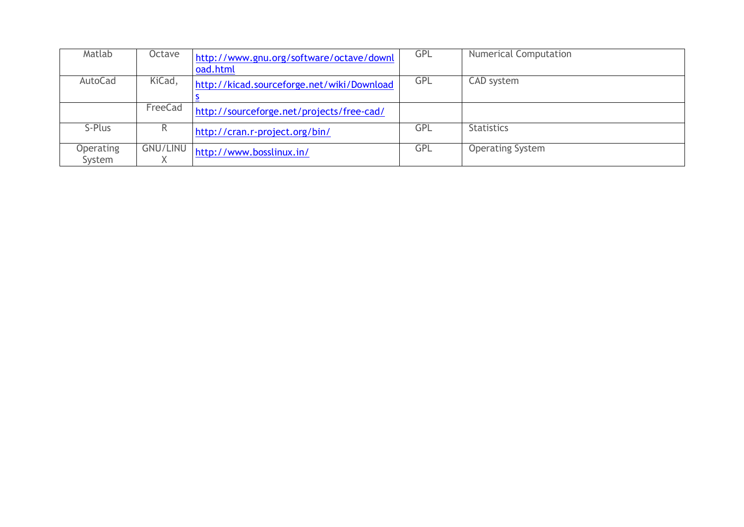| Matlab                     | Octave          | http://www.gnu.org/software/octave/downl<br>oad.html | <b>GPL</b> | <b>Numerical Computation</b> |
|----------------------------|-----------------|------------------------------------------------------|------------|------------------------------|
| AutoCad                    | KiCad,          | http://kicad.sourceforge.net/wiki/Download           | <b>GPL</b> | CAD system                   |
|                            | FreeCad         | http://sourceforge.net/projects/free-cad/            |            |                              |
| S-Plus                     | R.              | http://cran.r-project.org/bin/                       | GPL        | <b>Statistics</b>            |
| <b>Operating</b><br>System | <b>GNU/LINU</b> | http://www.bosslinux.in/                             | <b>GPL</b> | <b>Operating System</b>      |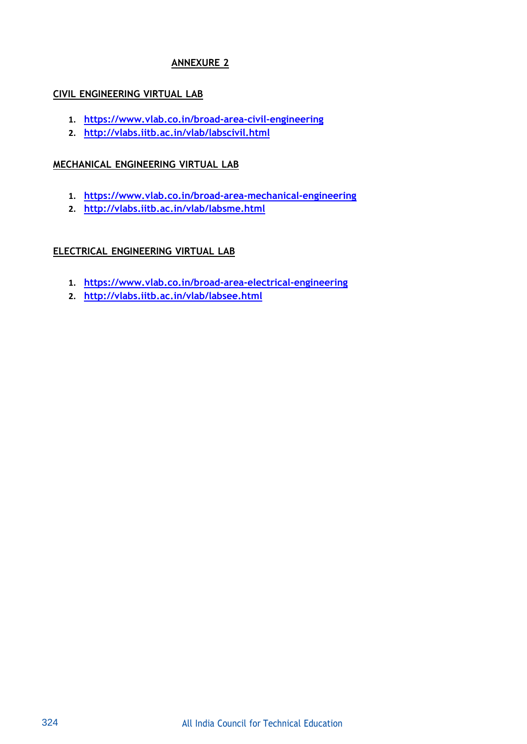# **ANNEXURE 2**

### **CIVIL ENGINEERING VIRTUAL LAB**

- **1. https:/[/www.vlab.co.in/broad-area-civil-engineering](http://www.vlab.co.in/broad-area-civil-engineering)**
- **2. <http://vlabs.iitb.ac.in/vlab/labscivil.html>**

### **MECHANICAL ENGINEERING VIRTUAL LAB**

- **1. https:/[/www.vlab.co.in/broad-area-mechanical-engineering](http://www.vlab.co.in/broad-area-mechanical-engineering)**
- **2. <http://vlabs.iitb.ac.in/vlab/labsme.html>**

# **ELECTRICAL ENGINEERING VIRTUAL LAB**

- **1. https:/[/www.vlab.co.in/broad-area-electrical-engineering](http://www.vlab.co.in/broad-area-electrical-engineering)**
- **2. http://vlabs.iitb.ac.in/vlab/labsee.html**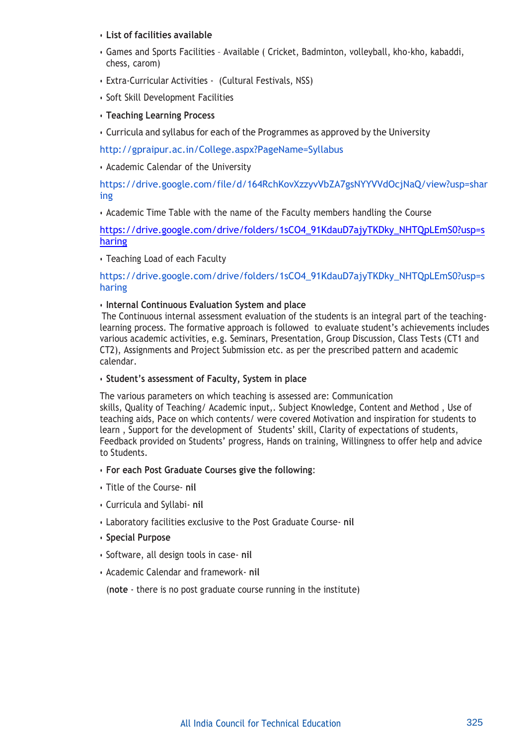### • **List of facilities available**

- Games and Sports Facilities Available ( Cricket, Badminton, volleyball, kho-kho, kabaddi, chess, carom)
- Extra-Curricular Activities (Cultural Festivals, NSS)
- Soft Skill Development Facilities
- **Teaching Learning Process**
- Curricula and syllabus for each of the Programmes as approved by the University

<http://gpraipur.ac.in/College.aspx?PageName=Syllabus>

• Academic Calendar of the University

[https://drive.google.com/file/d/164RchKovXzzyvVbZA7gsNYYVVdOcjNaQ/view?usp=shar](https://drive.google.com/file/d/164RchKovXzzyvVbZA7gsNYYVVdOcjNaQ/view?usp=sharing) [ing](https://drive.google.com/file/d/164RchKovXzzyvVbZA7gsNYYVVdOcjNaQ/view?usp=sharing)

• Academic Time Table with the name of the Faculty members handling the Course

[https://drive.google.com/drive/folders/1sCO4\\_91KdauD7ajyTKDky\\_NHTQpLEmS0?usp=s](https://drive.google.com/drive/folders/1sCO4_91KdauD7ajyTKDky_NHTQpLEmS0?usp=sharing) [haring](https://drive.google.com/drive/folders/1sCO4_91KdauD7ajyTKDky_NHTQpLEmS0?usp=sharing)

• Teaching Load of each Faculty

[https://drive.google.com/drive/folders/1sCO4\\_91KdauD7ajyTKDky\\_NHTQpLEmS0?usp=s](https://drive.google.com/drive/folders/1sCO4_91KdauD7ajyTKDky_NHTQpLEmS0?usp=sharing) [haring](https://drive.google.com/drive/folders/1sCO4_91KdauD7ajyTKDky_NHTQpLEmS0?usp=sharing)

### • **Internal Continuous Evaluation System and place**

The Continuous internal assessment evaluation of the students is an integral part of the teachinglearning process. The formative approach is followed to evaluate student's achievements includes various academic activities, e.g. Seminars, Presentation, Group Discussion, Class Tests (CT1 and CT2), Assignments and Project Submission etc. as per the prescribed pattern and academic calendar.

### • **Student's assessment of Faculty, System in place**

The various parameters on which teaching is assessed are: Communication skills, Quality of Teaching/ Academic input,. Subject Knowledge, Content and Method , Use of teaching aids, Pace on which contents/ were covered Motivation and inspiration for students to learn , Support for the development of Students' skill, Clarity of expectations of students, Feedback provided on Students' progress, Hands on training, Willingness to offer help and advice to Students.

### • **For each Post Graduate Courses give the following**:

- Title of the Course- **nil**
- Curricula and Syllabi- **nil**
- Laboratory facilities exclusive to the Post Graduate Course- **nil**
- **Special Purpose**
- Software, all design tools in case- **nil**
- Academic Calendar and framework- **nil**

(**note** - there is no post graduate course running in the institute)